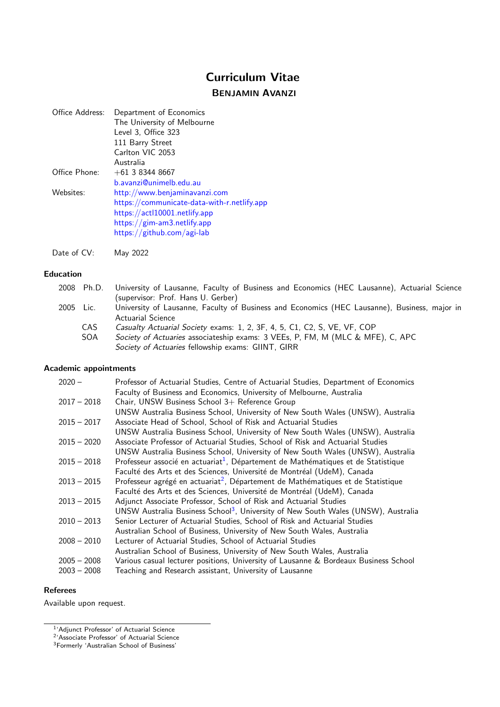# Curriculum Vitae

## BENJAMIN AVANZI

| Office Address: | Department of Economics                     |
|-----------------|---------------------------------------------|
|                 | The University of Melbourne                 |
|                 | Level 3, Office 323                         |
|                 | 111 Barry Street                            |
|                 | Carlton VIC 2053                            |
|                 | Australia                                   |
| Office Phone:   | $+61$ 3 8344 8667                           |
|                 | b.avanzi@unimelb.edu.au                     |
| Websites:       | http://www.benjaminavanzi.com               |
|                 | https://communicate-data-with-r.netlify.app |
|                 | https://actl10001.netlify.app               |
|                 | https://gim-am3.netlify.app                 |
|                 | https://github.com/agi-lab                  |

Date of CV: May 2022

#### Education

|           | 2008 Ph.D. University of Lausanne, Faculty of Business and Economics (HEC Lausanne), Actuarial Science |
|-----------|--------------------------------------------------------------------------------------------------------|
|           | (supervisor: Prof. Hans U. Gerber)                                                                     |
| 2005 Lic. | University of Lausanne, Faculty of Business and Economics (HEC Lausanne), Business, major in           |
|           | <b>Actuarial Science</b>                                                                               |
| CAS.      | Casualty Actuarial Society exams: 1, 2, 3F, 4, 5, C1, C2, S, VE, VF, COP                               |
| SOA       | Society of Actuaries associateship exams: 3 VEEs, P, FM, M (MLC & MFE), C, APC                         |
|           | Society of Actuaries fellowship exams: GIINT, GIRR                                                     |

#### Academic appointments

| $2020 -$      | Professor of Actuarial Studies, Centre of Actuarial Studies, Department of Economics          |
|---------------|-----------------------------------------------------------------------------------------------|
|               | Faculty of Business and Economics, University of Melbourne, Australia                         |
| $2017 - 2018$ | Chair, UNSW Business School 3+ Reference Group                                                |
|               | UNSW Australia Business School, University of New South Wales (UNSW), Australia               |
| $2015 - 2017$ | Associate Head of School, School of Risk and Actuarial Studies                                |
|               | UNSW Australia Business School, University of New South Wales (UNSW), Australia               |
| $2015 - 2020$ | Associate Professor of Actuarial Studies, School of Risk and Actuarial Studies                |
|               | UNSW Australia Business School, University of New South Wales (UNSW), Australia               |
| $2015 - 2018$ | Professeur associé en actuariat <sup>1</sup> , Département de Mathématiques et de Statistique |
|               | Faculté des Arts et des Sciences, Université de Montréal (UdeM), Canada                       |
| $2013 - 2015$ | Professeur agrégé en actuariat <sup>2</sup> , Département de Mathématiques et de Statistique  |
|               | Faculté des Arts et des Sciences, Université de Montréal (UdeM), Canada                       |
| $2013 - 2015$ | Adjunct Associate Professor, School of Risk and Actuarial Studies                             |
|               | UNSW Australia Business School <sup>3</sup> , University of New South Wales (UNSW), Australia |
| $2010 - 2013$ | Senior Lecturer of Actuarial Studies, School of Risk and Actuarial Studies                    |
|               | Australian School of Business, University of New South Wales, Australia                       |
| $2008 - 2010$ | Lecturer of Actuarial Studies, School of Actuarial Studies                                    |
|               | Australian School of Business, University of New South Wales, Australia                       |
| $2005 - 2008$ | Various casual lecturer positions, University of Lausanne & Bordeaux Business School          |
| $2003 - 2008$ | Teaching and Research assistant, University of Lausanne                                       |

#### Referees

Available upon request.

<span id="page-0-0"></span><sup>&</sup>lt;sup>1</sup>'Adjunct Professor' of Actuarial Science

<span id="page-0-1"></span><sup>2</sup> 'Associate Professor' of Actuarial Science

<span id="page-0-2"></span><sup>&</sup>lt;sup>3</sup>Formerly 'Australian School of Business'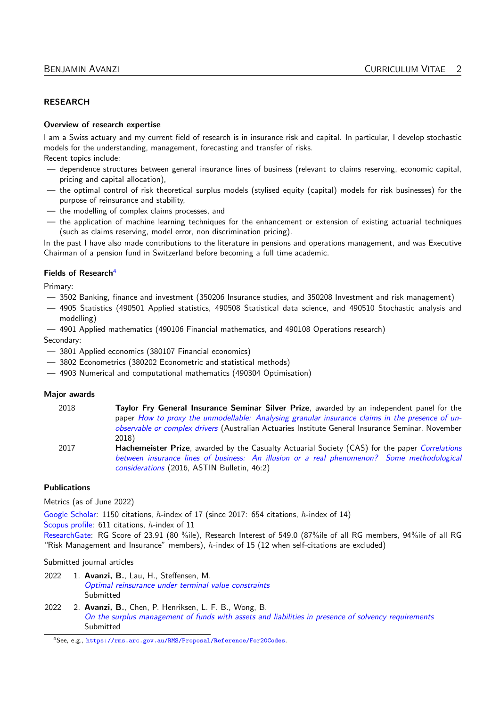#### **RESEARCH**

#### Overview of research expertise

I am a Swiss actuary and my current field of research is in insurance risk and capital. In particular, I develop stochastic models for the understanding, management, forecasting and transfer of risks. Recent topics include:

- dependence structures between general insurance lines of business (relevant to claims reserving, economic capital, pricing and capital allocation),
- the optimal control of risk theoretical surplus models (stylised equity (capital) models for risk businesses) for the purpose of reinsurance and stability,
- the modelling of complex claims processes, and
- the application of machine learning techniques for the enhancement or extension of existing actuarial techniques (such as claims reserving, model error, non discrimination pricing).

In the past I have also made contributions to the literature in pensions and operations management, and was Executive Chairman of a pension fund in Switzerland before becoming a full time academic.

#### Fields of Research<sup>[4](#page-1-0)</sup>

Primary:

- 3502 Banking, finance and investment (350206 Insurance studies, and 350208 Investment and risk management)
- 4905 Statistics (490501 Applied statistics, 490508 Statistical data science, and 490510 Stochastic analysis and modelling)
- 4901 Applied mathematics (490106 Financial mathematics, and 490108 Operations research)

Secondary:

- 3801 Applied economics (380107 Financial economics)
- 3802 Econometrics (380202 Econometric and statistical methods)
- 4903 Numerical and computational mathematics (490304 Optimisation)

#### Major awards

| 2018 | Taylor Fry General Insurance Seminar Silver Prize, awarded by an independent panel for the<br>paper How to proxy the unmodellable: Analysing granular insurance claims in the presence of un-<br>observable or complex drivers (Australian Actuaries Institute General Insurance Seminar, November<br>2018) |
|------|-------------------------------------------------------------------------------------------------------------------------------------------------------------------------------------------------------------------------------------------------------------------------------------------------------------|
| 2017 | <b>Hachemeister Prize</b> , awarded by the Casualty Actuarial Society (CAS) for the paper Correlations<br>between insurance lines of business: An illusion or a real phenomenon? Some methodological<br>considerations (2016, ASTIN Bulletin, 46:2)                                                         |

#### Publications

Metrics (as of June 2022)

[Google Scholar:](http://scholar.google.ch/citations?user=X4Ur7VQAAAAJ&hl=en) 1150 citations, h-index of 17 (since 2017: 654 citations, h-index of 14)

[Scopus profile:](http://www.scopus.com/authid/detail.url?authorId=16241043800) 611 citations, h-index of 11

[ResearchGate:](https://www.researchgate.net/profile/Benjamin_Avanzi) RG Score of 23.91 (80 %ile), Research Interest of 549.0 (87%ile of all RG members, 94%ile of all RG "Risk Management and Insurance" members),  $h$ -index of 15 (12 when self-citations are excluded)

Submitted journal articles

- 2022 1. Avanzi, B., Lau, H., Steffensen, M. [Optimal reinsurance under terminal value constraints](https://arxiv.org/abs/2203.16108) Submitted
- 2022 2. Avanzi, B., Chen, P. Henriksen, L. F. B., Wong, B. [On the surplus management of funds with assets and liabilities in presence of solvency requirements](https://arxiv.org/abs/2203.05139/) Submitted

<span id="page-1-0"></span><sup>4</sup>See, e.g., <https://rms.arc.gov.au/RMS/Proposal/Reference/For20Codes>.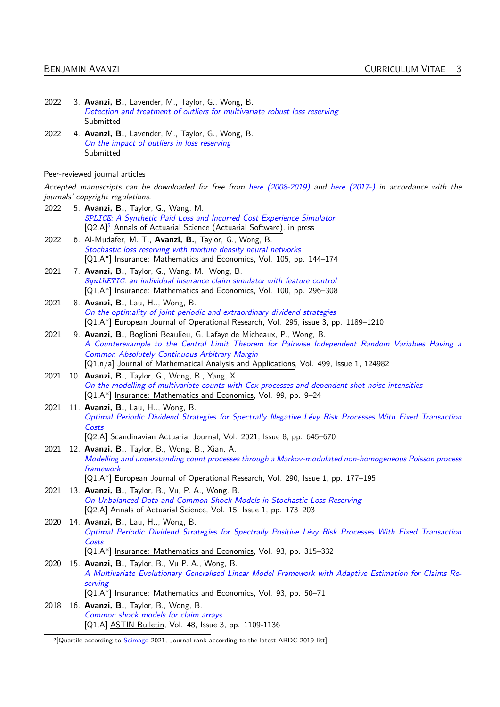| 2022 | 3. Avanzi, B., Lavender, M., Taylor, G., Wong, B.<br>Detection and treatment of outliers for multivariate robust loss reserving<br>Submitted                              |
|------|---------------------------------------------------------------------------------------------------------------------------------------------------------------------------|
| 2022 | 4. Avanzi, B., Lavender, M., Taylor, G., Wong, B.                                                                                                                         |
|      | On the impact of outliers in loss reserving<br>Submitted                                                                                                                  |
|      | Peer-reviewed journal articles                                                                                                                                            |
|      | Accepted manuscripts can be downloaded for free from here (2008-2019) and here (2017-) in accordance with the<br>journals' copyright regulations.                         |
| 2022 | 5. Avanzi, B., Taylor, G., Wang, M.                                                                                                                                       |
|      | SPLICE: A Synthetic Paid Loss and Incurred Cost Experience Simulator<br>[Q2,A] <sup>5</sup> Annals of Actuarial Science (Actuarial Software), in press                    |
| 2022 | 6. Al-Mudafer, M. T., Avanzi, B., Taylor, G., Wong, B.                                                                                                                    |
|      | Stochastic loss reserving with mixture density neural networks<br>[Q1,A*] Insurance: Mathematics and Economics, Vol. 105, pp. 144-174                                     |
| 2021 | 7. Avanzi, B., Taylor, G., Wang, M., Wong, B.                                                                                                                             |
|      | SynthETIC: an individual insurance claim simulator with feature control                                                                                                   |
| 2021 | [Q1,A*] Insurance: Mathematics and Economics, Vol. 100, pp. 296-308<br>8. Avanzi, B., Lau, H, Wong, B.                                                                    |
|      | On the optimality of joint periodic and extraordinary dividend strategies                                                                                                 |
|      | [Q1,A*] European Journal of Operational Research, Vol. 295, issue 3, pp. 1189-1210                                                                                        |
| 2021 | 9. Avanzi, B., Boglioni Beaulieu, G, Lafaye de Micheaux, P., Wong, B.<br>A Counterexample to the Central Limit Theorem for Pairwise Independent Random Variables Having a |
|      | Common Absolutely Continuous Arbitrary Margin                                                                                                                             |
|      | [Q1,n/a] Journal of Mathematical Analysis and Applications, Vol. 499, Issue 1, 124982                                                                                     |
| 2021 | 10. Avanzi, B., Taylor, G., Wong, B., Yang, X.                                                                                                                            |
|      | On the modelling of multivariate counts with Cox processes and dependent shot noise intensities<br>[Q1,A*] Insurance: Mathematics and Economics, Vol. 99, pp. 9-24        |
| 2021 | 11. Avanzi, B., Lau, H, Wong, B.                                                                                                                                          |
|      | Optimal Periodic Dividend Strategies for Spectrally Negative Lévy Risk Processes With Fixed Transaction<br>Costs                                                          |
|      | [Q2,A] Scandinavian Actuarial Journal, Vol. 2021, Issue 8, pp. 645-670                                                                                                    |
| 2021 | 12. Avanzi, B., Taylor, B., Wong, B., Xian, A.                                                                                                                            |
|      | Modelling and understanding count processes through a Markov-modulated non-homogeneous Poisson process<br>framework                                                       |
|      | [Q1,A*] European Journal of Operational Research, Vol. 290, Issue 1, pp. 177-195                                                                                          |
| 2021 | 13. Avanzi, B., Taylor, B., Vu, P. A., Wong, B.                                                                                                                           |
|      | On Unbalanced Data and Common Shock Models in Stochastic Loss Reserving<br>[Q2,A] Annals of Actuarial Science, Vol. 15, Issue 1, pp. 173-203                              |
| 2020 | 14. Avanzi, B., Lau, H, Wong, B.                                                                                                                                          |
|      | Optimal Periodic Dividend Strategies for Spectrally Positive Lévy Risk Processes With Fixed Transaction<br>Costs                                                          |
|      | [Q1,A*] Insurance: Mathematics and Economics, Vol. 93, pp. 315-332                                                                                                        |
| 2020 | 15. <b>Avanzi, B.</b> , Taylor, B., Vu P. A., Wong, B.                                                                                                                    |
|      | A Multivariate Evolutionary Generalised Linear Model Framework with Adaptive Estimation for Claims Re-<br>serving                                                         |
|      | [Q1,A*] Insurance: Mathematics and Economics, Vol. 93, pp. 50-71                                                                                                          |
| 2018 | 16. Avanzi, B., Taylor, B., Wong, B.                                                                                                                                      |
|      | Common shock models for claim arrays<br>[Q1,A] ASTIN Bulletin, Vol. 48, Issue 3, pp. 1109-1136                                                                            |
|      |                                                                                                                                                                           |

<span id="page-2-0"></span><sup>&</sup>lt;sup>5</sup>[Quartile according to [Scimago](https://www.scimagojr.com) 2021, Journal rank according to the latest ABDC 2019 list]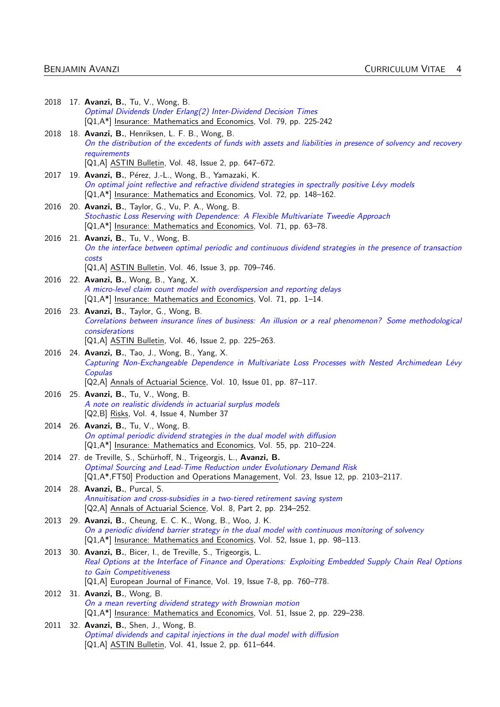|      | 2018 17. <b>Avanzi, B.</b> , Tu, V., Wong, B.<br>Optimal Dividends Under Erlang(2) Inter-Dividend Decision Times<br>[Q1,A*] Insurance: Mathematics and Economics, Vol. 79, pp. 225-242                                                    |
|------|-------------------------------------------------------------------------------------------------------------------------------------------------------------------------------------------------------------------------------------------|
| 2018 | 18. Avanzi, B., Henriksen, L. F. B., Wong, B.<br>On the distribution of the excedents of funds with assets and liabilities in presence of solvency and recovery<br>requirements                                                           |
| 2017 | [Q1,A] ASTIN Bulletin, Vol. 48, Issue 2, pp. 647–672.<br>19. Avanzi, B., Pérez, J.-L., Wong, B., Yamazaki, K.                                                                                                                             |
|      | On optimal joint reflective and refractive dividend strategies in spectrally positive Lévy models<br>[Q1,A*] Insurance: Mathematics and Economics, Vol. 72, pp. 148-162.                                                                  |
| 2016 | 20. Avanzi, B., Taylor, G., Vu, P. A., Wong, B.<br>Stochastic Loss Reserving with Dependence: A Flexible Multivariate Tweedie Approach<br>[Q1,A*] Insurance: Mathematics and Economics, Vol. 71, pp. 63-78.                               |
| 2016 | 21. Avanzi, B., Tu, V., Wong, B.<br>On the interface between optimal periodic and continuous dividend strategies in the presence of transaction<br>costs                                                                                  |
|      | [Q1,A] <b>ASTIN Bulletin</b> , Vol. 46, Issue 3, pp. 709–746.                                                                                                                                                                             |
| 2016 | 22. Avanzi, B., Wong, B., Yang, X.<br>A micro-level claim count model with overdispersion and reporting delays<br>[Q1,A*] Insurance: Mathematics and Economics, Vol. 71, pp. 1-14.                                                        |
| 2016 | 23. Avanzi, B., Taylor, G., Wong, B.<br>Correlations between insurance lines of business: An illusion or a real phenomenon? Some methodological<br>considerations                                                                         |
|      | [Q1,A] ASTIN Bulletin, Vol. 46, Issue 2, pp. 225–263.                                                                                                                                                                                     |
| 2016 | 24. Avanzi, B., Tao, J., Wong, B., Yang, X.<br>Capturing Non-Exchangeable Dependence in Multivariate Loss Processes with Nested Archimedean Lévy<br>Copulas<br>[Q2,A] Annals of Actuarial Science, Vol. 10, Issue 01, pp. 87-117.         |
| 2016 | 25. Avanzi, B., Tu, V., Wong, B.                                                                                                                                                                                                          |
|      | A note on realistic dividends in actuarial surplus models<br>[Q2,B] Risks, Vol. 4, Issue 4, Number 37                                                                                                                                     |
| 2014 | 26. Avanzi, B., Tu, V., Wong, B.<br>On optimal periodic dividend strategies in the dual model with diffusion<br>[Q1,A*] Insurance: Mathematics and Economics, Vol. 55, pp. 210-224.                                                       |
| 2014 | 27. de Treville, S., Schürhoff, N., Trigeorgis, L., Avanzi, B.<br>Optimal Sourcing and Lead-Time Reduction under Evolutionary Demand Risk<br>[Q1,A*,FT50] Production and Operations Management, Vol. 23, Issue 12, pp. 2103-2117.         |
| 2014 | 28. Avanzi, B., Purcal, S.                                                                                                                                                                                                                |
|      | Annuitisation and cross-subsidies in a two-tiered retirement saving system<br>[Q2,A] Annals of Actuarial Science, Vol. 8, Part 2, pp. 234-252.                                                                                            |
| 2013 | 29. Avanzi, B., Cheung, E. C. K., Wong, B., Woo, J. K.<br>On a periodic dividend barrier strategy in the dual model with continuous monitoring of solvency<br>[Q1,A*] Insurance: Mathematics and Economics, Vol. 52, Issue 1, pp. 98-113. |
| 2013 | 30. Avanzi, B., Bicer, I., de Treville, S., Trigeorgis, L.<br>Real Options at the Interface of Finance and Operations: Exploiting Embedded Supply Chain Real Options<br>to Gain Competitiveness                                           |
| 2012 | [Q1,A] European Journal of Finance, Vol. 19, Issue 7-8, pp. 760-778.<br>31. Avanzi, B., Wong, B.                                                                                                                                          |
|      | On a mean reverting dividend strategy with Brownian motion<br>[Q1,A*] Insurance: Mathematics and Economics, Vol. 51, Issue 2, pp. 229–238.                                                                                                |
| 2011 | 32. Avanzi, B., Shen, J., Wong, B.<br>Optimal dividends and capital injections in the dual model with diffusion<br>[Q1,A] ASTIN Bulletin, Vol. 41, Issue 2, pp. 611-644.                                                                  |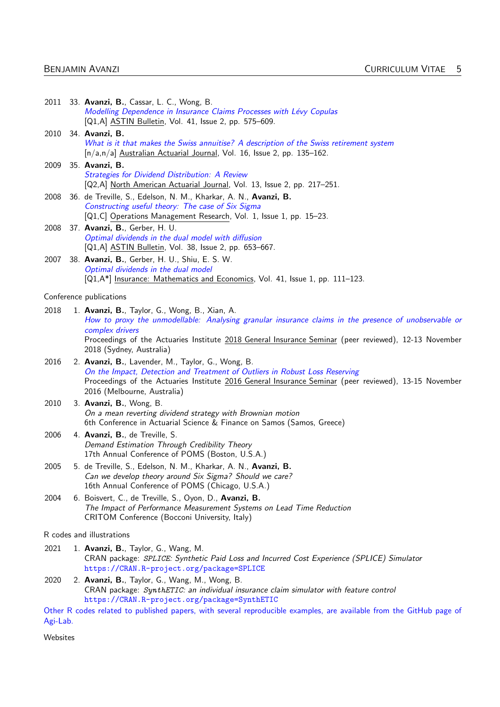|          | 2011 33. Avanzi, B., Cassar, L. C., Wong, B.<br>Modelling Dependence in Insurance Claims Processes with Lévy Copulas<br>[Q1,A] ASTIN Bulletin, Vol. 41, Issue 2, pp. 575–609.                                                                                            |
|----------|--------------------------------------------------------------------------------------------------------------------------------------------------------------------------------------------------------------------------------------------------------------------------|
| 2010     | 34. Avanzi, B.<br>What is it that makes the Swiss annuitise? A description of the Swiss retirement system<br>[n/a,n/a] Australian Actuarial Journal, Vol. 16, Issue 2, pp. 135-162.                                                                                      |
| 2009     | 35. Avanzi, B.<br><b>Strategies for Dividend Distribution: A Review</b><br>[Q2,A] North American Actuarial Journal, Vol. 13, Issue 2, pp. 217-251.                                                                                                                       |
| 2008     | 36. de Treville, S., Edelson, N. M., Kharkar, A. N., Avanzi, B.<br>Constructing useful theory: The case of Six Sigma<br>[Q1,C] Operations Management Research, Vol. 1, Issue 1, pp. 15-23.                                                                               |
| 2008     | 37. Avanzi, B., Gerber, H. U.<br>Optimal dividends in the dual model with diffusion<br>[Q1,A] ASTIN Bulletin, Vol. 38, Issue 2, pp. 653–667.                                                                                                                             |
| 2007     | 38. Avanzi, B., Gerber, H. U., Shiu, E. S. W.<br>Optimal dividends in the dual model<br>[Q1,A*] Insurance: Mathematics and Economics, Vol. 41, Issue 1, pp. 111-123.                                                                                                     |
|          | Conference publications                                                                                                                                                                                                                                                  |
| 2018     | 1. Avanzi, B., Taylor, G., Wong, B., Xian, A.<br>How to proxy the unmodellable: Analysing granular insurance claims in the presence of unobservable or<br>complex drivers                                                                                                |
|          | Proceedings of the Actuaries Institute 2018 General Insurance Seminar (peer reviewed), 12-13 November<br>2018 (Sydney, Australia)                                                                                                                                        |
| 2016     | 2. Avanzi, B., Lavender, M., Taylor, G., Wong, B.<br>On the Impact, Detection and Treatment of Outliers in Robust Loss Reserving<br>Proceedings of the Actuaries Institute 2016 General Insurance Seminar (peer reviewed), 13-15 November<br>2016 (Melbourne, Australia) |
| 2010     | 3. Avanzi, B., Wong, B.<br>On a mean reverting dividend strategy with Brownian motion<br>6th Conference in Actuarial Science & Finance on Samos (Samos, Greece)                                                                                                          |
| 2006     | 4. Avanzi, B., de Treville, S.<br>Demand Estimation Through Credibility Theory<br>17th Annual Conference of POMS (Boston, U.S.A.)                                                                                                                                        |
| 2005     | 5. de Treville, S., Edelson, N. M., Kharkar, A. N., Avanzi, B.<br>Can we develop theory around Six Sigma? Should we care?<br>16th Annual Conference of POMS (Chicago, U.S.A.)                                                                                            |
| 2004     | 6. Boisvert, C., de Treville, S., Oyon, D., Avanzi, B.<br>The Impact of Performance Measurement Systems on Lead Time Reduction<br>CRITOM Conference (Bocconi University, Italy)                                                                                          |
|          | R codes and illustrations                                                                                                                                                                                                                                                |
| 2021     | 1. Avanzi, B., Taylor, G., Wang, M.<br>CRAN package: SPLICE: Synthetic Paid Loss and Incurred Cost Experience (SPLICE) Simulator<br>https://CRAN.R-project.org/package=SPLICE                                                                                            |
| 2020     | 2. Avanzi, B., Taylor, G., Wang, M., Wong, B.<br>CRAN package: SynthETIC: an individual insurance claim simulator with feature control<br>https://CRAN.R-project.org/package=SynthETIC                                                                                   |
| Agi-Lab. | Other R codes related to published papers, with several reproducible examples, are available from the GitHub page of                                                                                                                                                     |

Websites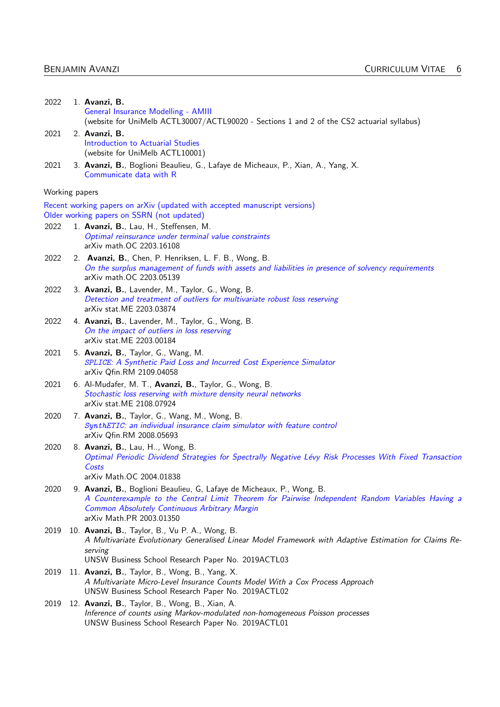| 2022           | 1. Avanzi, B.<br>General Insurance Modelling - AMIII<br>(website for UniMelb ACTL30007/ACTL90020 - Sections 1 and 2 of the CS2 actuarial syllabus)                                                                                                     |
|----------------|--------------------------------------------------------------------------------------------------------------------------------------------------------------------------------------------------------------------------------------------------------|
| 2021           | 2. Avanzi, B.<br>Introduction to Actuarial Studies<br>(website for UniMelb ACTL10001)                                                                                                                                                                  |
| 2021           | 3. Avanzi, B., Boglioni Beaulieu, G., Lafaye de Micheaux, P., Xian, A., Yang, X.<br>Communicate data with R                                                                                                                                            |
| Working papers |                                                                                                                                                                                                                                                        |
|                | Recent working papers on arXiv (updated with accepted manuscript versions)                                                                                                                                                                             |
|                | Older working papers on SSRN (not updated)                                                                                                                                                                                                             |
| 2022           | 1. Avanzi, B., Lau, H., Steffensen, M.<br>Optimal reinsurance under terminal value constraints<br>arXiv math.OC 2203.16108                                                                                                                             |
| 2022           | 2. Avanzi, B., Chen, P. Henriksen, L. F. B., Wong, B.<br>On the surplus management of funds with assets and liabilities in presence of solvency requirements<br>arXiv math.OC 2203.05139                                                               |
| 2022           | 3. Avanzi, B., Lavender, M., Taylor, G., Wong, B.<br>Detection and treatment of outliers for multivariate robust loss reserving<br>arXiv stat.ME 2203.03874                                                                                            |
| 2022           | 4. Avanzi, B., Lavender, M., Taylor, G., Wong, B.<br>On the impact of outliers in loss reserving<br>arXiv stat.ME 2203.00184                                                                                                                           |
| 2021           | 5. Avanzi, B., Taylor, G., Wang, M.<br>SPLICE: A Synthetic Paid Loss and Incurred Cost Experience Simulator<br>arXiv Qfin.RM 2109.04058                                                                                                                |
| 2021           | 6. Al-Mudafer, M. T., Avanzi, B., Taylor, G., Wong, B.<br>Stochastic loss reserving with mixture density neural networks<br>arXiv stat.ME 2108.07924                                                                                                   |
| 2020           | 7. Avanzi, B., Taylor, G., Wang, M., Wong, B.<br>SynthETIC: an individual insurance claim simulator with feature control<br>arXiv Qfin.RM 2008.05693                                                                                                   |
| 2020           | 8. Avanzi, B., Lau, H, Wong, B.<br>Optimal Periodic Dividend Strategies for Spectrally Negative Lévy Risk Processes With Fixed Transaction<br>Costs<br>arXiv Math.OC 2004.01838                                                                        |
| 2020           | 9. Avanzi, B., Boglioni Beaulieu, G, Lafaye de Micheaux, P., Wong, B.<br>A Counterexample to the Central Limit Theorem for Pairwise Independent Random Variables Having a<br>Common Absolutely Continuous Arbitrary Margin<br>arXiv Math.PR 2003.01350 |
| 2019           | 10. Avanzi, B., Taylor, B., Vu P. A., Wong, B.<br>A Multivariate Evolutionary Generalised Linear Model Framework with Adaptive Estimation for Claims Re-<br>serving                                                                                    |
|                | UNSW Business School Research Paper No. 2019ACTL03                                                                                                                                                                                                     |
| 2019           | 11. Avanzi, B., Taylor, B., Wong, B., Yang, X.<br>A Multivariate Micro-Level Insurance Counts Model With a Cox Process Approach<br>UNSW Business School Research Paper No. 2019ACTL02                                                                  |
| 2019           | 12. Avanzi, B., Taylor, B., Wong, B., Xian, A.<br>Inference of counts using Markov-modulated non-homogeneous Poisson processes<br>UNSW Business School Research Paper No. 2019ACTL01                                                                   |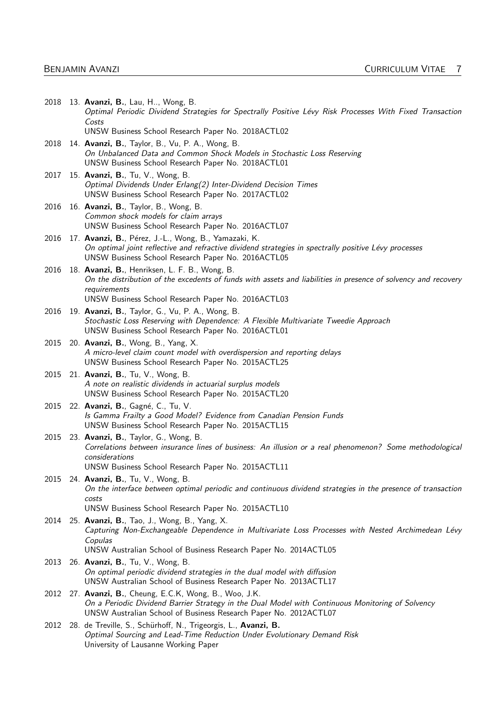|      | 2018 13. Avanzi, B., Lau, H, Wong, B.<br>Optimal Periodic Dividend Strategies for Spectrally Positive Lévy Risk Processes With Fixed Transaction<br>Costs                                                                  |
|------|----------------------------------------------------------------------------------------------------------------------------------------------------------------------------------------------------------------------------|
|      | UNSW Business School Research Paper No. 2018ACTL02                                                                                                                                                                         |
| 2018 | 14. <b>Avanzi, B.</b> , Taylor, B., Vu, P. A., Wong, B.<br>On Unbalanced Data and Common Shock Models in Stochastic Loss Reserving<br>UNSW Business School Research Paper No. 2018ACTL01                                   |
| 2017 | 15. <b>Avanzi, B.</b> , Tu, V., Wong, B.<br>Optimal Dividends Under Erlang(2) Inter-Dividend Decision Times<br>UNSW Business School Research Paper No. 2017ACTL02                                                          |
| 2016 | 16. Avanzi, B., Taylor, B., Wong, B.<br>Common shock models for claim arrays<br>UNSW Business School Research Paper No. 2016ACTL07                                                                                         |
| 2016 | 17. Avanzi, B., Pérez, J.-L., Wong, B., Yamazaki, K.<br>On optimal joint reflective and refractive dividend strategies in spectrally positive Lévy processes<br>UNSW Business School Research Paper No. 2016ACTL05         |
| 2016 | 18. Avanzi, B., Henriksen, L. F. B., Wong, B.<br>On the distribution of the excedents of funds with assets and liabilities in presence of solvency and recovery<br>requirements                                            |
|      | UNSW Business School Research Paper No. 2016ACTL03                                                                                                                                                                         |
| 2016 | 19. Avanzi, B., Taylor, G., Vu, P. A., Wong, B.<br>Stochastic Loss Reserving with Dependence: A Flexible Multivariate Tweedie Approach<br>UNSW Business School Research Paper No. 2016ACTL01                               |
|      | 2015 20. Avanzi, B., Wong, B., Yang, X.<br>A micro-level claim count model with overdispersion and reporting delays<br>UNSW Business School Research Paper No. 2015ACTL25                                                  |
| 2015 | 21. <b>Avanzi, B.</b> , Tu, V., Wong, B.<br>A note on realistic dividends in actuarial surplus models<br>UNSW Business School Research Paper No. 2015ACTL20                                                                |
| 2015 | 22. Avanzi, B., Gagné, C., Tu, V.<br>Is Gamma Frailty a Good Model? Evidence from Canadian Pension Funds<br>UNSW Business School Research Paper No. 2015ACTL15                                                             |
| 2015 | 23. <b>Avanzi, B.</b> , Taylor, G., Wong, B.<br>Correlations between insurance lines of business: An illusion or a real phenomenon? Some methodological                                                                    |
|      | considerations                                                                                                                                                                                                             |
| 2015 | UNSW Business School Research Paper No. 2015ACTL11<br>24. <b>Avanzi, B.</b> , Tu, V., Wong, B.<br>On the interface between optimal periodic and continuous dividend strategies in the presence of transaction<br>costs     |
|      | UNSW Business School Research Paper No. 2015ACTL10                                                                                                                                                                         |
| 2014 | 25. Avanzi, B., Tao, J., Wong, B., Yang, X.<br>Capturing Non-Exchangeable Dependence in Multivariate Loss Processes with Nested Archimedean Lévy<br>Copulas                                                                |
|      | UNSW Australian School of Business Research Paper No. 2014ACTL05                                                                                                                                                           |
| 2013 | 26. Avanzi, B., Tu, V., Wong, B.<br>On optimal periodic dividend strategies in the dual model with diffusion<br>UNSW Australian School of Business Research Paper No. 2013ACTL17                                           |
| 2012 | 27. Avanzi, B., Cheung, E.C.K, Wong, B., Woo, J.K.<br>On a Periodic Dividend Barrier Strategy in the Dual Model with Continuous Monitoring of Solvency<br>UNSW Australian School of Business Research Paper No. 2012ACTL07 |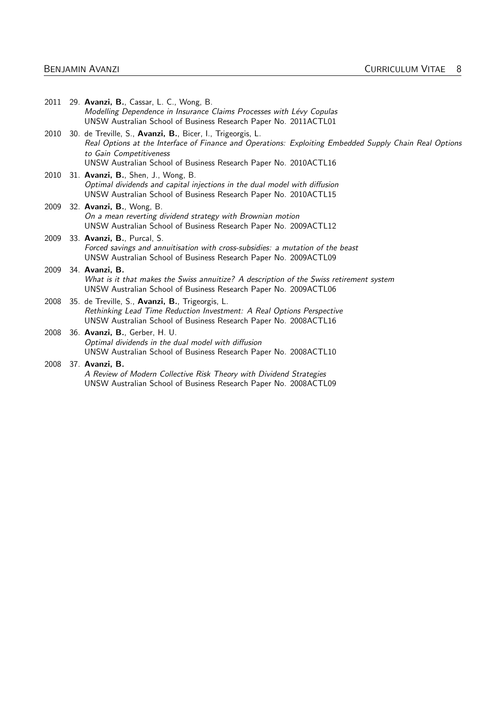| 2011 | 29. Avanzi, B., Cassar, L. C., Wong, B.<br>Modelling Dependence in Insurance Claims Processes with Lévy Copulas<br>UNSW Australian School of Business Research Paper No. 2011ACTL01                                                                                 |
|------|---------------------------------------------------------------------------------------------------------------------------------------------------------------------------------------------------------------------------------------------------------------------|
| 2010 | 30. de Treville, S., Avanzi, B., Bicer, I., Trigeorgis, L.<br>Real Options at the Interface of Finance and Operations: Exploiting Embedded Supply Chain Real Options<br>to Gain Competitiveness<br>UNSW Australian School of Business Research Paper No. 2010ACTL16 |
| 2010 | 31. Avanzi, B., Shen, J., Wong, B.<br>Optimal dividends and capital injections in the dual model with diffusion<br>UNSW Australian School of Business Research Paper No. 2010ACTL15                                                                                 |
| 2009 | 32. Avanzi, B., Wong, B.<br>On a mean reverting dividend strategy with Brownian motion<br>UNSW Australian School of Business Research Paper No. 2009ACTL12                                                                                                          |
| 2009 | 33. Avanzi, B., Purcal, S.<br>Forced savings and annuitisation with cross-subsidies: a mutation of the beast<br>UNSW Australian School of Business Research Paper No. 2009ACTL09                                                                                    |
| 2009 | 34. Avanzi, B.<br>What is it that makes the Swiss annuitize? A description of the Swiss retirement system<br>UNSW Australian School of Business Research Paper No. 2009ACTL06                                                                                       |
| 2008 | 35. de Treville, S., Avanzi, B., Trigeorgis, L.<br>Rethinking Lead Time Reduction Investment: A Real Options Perspective<br>UNSW Australian School of Business Research Paper No. 2008ACTL16                                                                        |
| 2008 | 36. Avanzi, B., Gerber, H. U.<br>Optimal dividends in the dual model with diffusion<br>UNSW Australian School of Business Research Paper No. 2008ACTL10                                                                                                             |
| 2008 | 37. Avanzi, B.<br>A Review of Modern Collective Risk Theory with Dividend Strategies<br>UNSW Australian School of Business Research Paper No. 2008ACTL09                                                                                                            |
|      |                                                                                                                                                                                                                                                                     |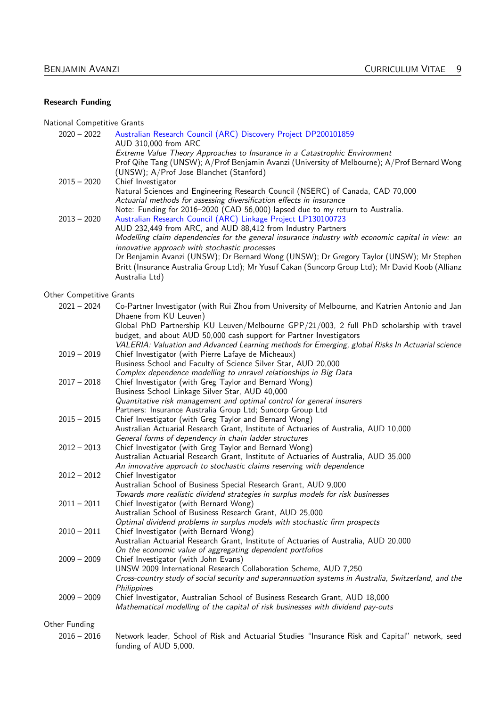#### Research Funding

National Competitive Grants

| $2020 - 2022$ | Australian Research Council (ARC) Discovery Project DP200101859                                                                                                                              |
|---------------|----------------------------------------------------------------------------------------------------------------------------------------------------------------------------------------------|
|               | AUD 310,000 from ARC                                                                                                                                                                         |
|               | Extreme Value Theory Approaches to Insurance in a Catastrophic Environment                                                                                                                   |
|               | Prof Qihe Tang (UNSW); A/Prof Benjamin Avanzi (University of Melbourne); A/Prof Bernard Wong                                                                                                 |
|               | (UNSW); A/Prof Jose Blanchet (Stanford)                                                                                                                                                      |
| $2015 - 2020$ | Chief Investigator                                                                                                                                                                           |
|               | Natural Sciences and Engineering Research Council (NSERC) of Canada, CAD 70,000                                                                                                              |
|               | Actuarial methods for assessing diversification effects in insurance                                                                                                                         |
|               | Note: Funding for 2016-2020 (CAD 56,000) lapsed due to my return to Australia.                                                                                                               |
| $2013 - 2020$ | Australian Research Council (ARC) Linkage Project LP130100723                                                                                                                                |
|               | AUD 232,449 from ARC, and AUD 88,412 from Industry Partners                                                                                                                                  |
|               | Modelling claim dependencies for the general insurance industry with economic capital in view: an<br>innovative approach with stochastic processes                                           |
|               | Dr Benjamin Avanzi (UNSW); Dr Bernard Wong (UNSW); Dr Gregory Taylor (UNSW); Mr Stephen<br>Britt (Insurance Australia Group Ltd); Mr Yusuf Cakan (Suncorp Group Ltd); Mr David Koob (Allianz |
|               | Australia Ltd)                                                                                                                                                                               |
|               |                                                                                                                                                                                              |

Other Competitive Grants

| $2021 - 2024$ | Co-Partner Investigator (with Rui Zhou from University of Melbourne, and Katrien Antonio and Jan                                                                |
|---------------|-----------------------------------------------------------------------------------------------------------------------------------------------------------------|
|               | Dhaene from KU Leuven)                                                                                                                                          |
|               | Global PhD Partnership KU Leuven/Melbourne GPP/21/003, 2 full PhD scholarship with travel                                                                       |
|               | budget, and about AUD 50,000 cash support for Partner Investigators                                                                                             |
|               | VALERIA: Valuation and Advanced Learning methods for Emerging, global Risks In Actuarial science                                                                |
| $2019 - 2019$ | Chief Investigator (with Pierre Lafaye de Micheaux)                                                                                                             |
|               | Business School and Faculty of Science Silver Star, AUD 20,000                                                                                                  |
|               | Complex dependence modelling to unravel relationships in Big Data                                                                                               |
| $2017 - 2018$ | Chief Investigator (with Greg Taylor and Bernard Wong)                                                                                                          |
|               | Business School Linkage Silver Star, AUD 40,000                                                                                                                 |
|               | Quantitative risk management and optimal control for general insurers                                                                                           |
|               | Partners: Insurance Australia Group Ltd; Suncorp Group Ltd                                                                                                      |
| $2015 - 2015$ | Chief Investigator (with Greg Taylor and Bernard Wong)                                                                                                          |
|               | Australian Actuarial Research Grant, Institute of Actuaries of Australia, AUD 10,000                                                                            |
|               | General forms of dependency in chain ladder structures                                                                                                          |
| $2012 - 2013$ | Chief Investigator (with Greg Taylor and Bernard Wong)                                                                                                          |
|               | Australian Actuarial Research Grant, Institute of Actuaries of Australia, AUD 35,000                                                                            |
|               | An innovative approach to stochastic claims reserving with dependence                                                                                           |
| $2012 - 2012$ | Chief Investigator                                                                                                                                              |
|               | Australian School of Business Special Research Grant, AUD 9,000                                                                                                 |
|               | Towards more realistic dividend strategies in surplus models for risk businesses                                                                                |
| $2011 - 2011$ | Chief Investigator (with Bernard Wong)                                                                                                                          |
|               | Australian School of Business Research Grant, AUD 25,000                                                                                                        |
|               | Optimal dividend problems in surplus models with stochastic firm prospects                                                                                      |
| $2010 - 2011$ | Chief Investigator (with Bernard Wong)                                                                                                                          |
|               | Australian Actuarial Research Grant, Institute of Actuaries of Australia, AUD 20,000                                                                            |
| $2009 - 2009$ | On the economic value of aggregating dependent portfolios                                                                                                       |
|               | Chief Investigator (with John Evans)<br>UNSW 2009 International Research Collaboration Scheme, AUD 7,250                                                        |
|               | Cross-country study of social security and superannuation systems in Australia, Switzerland, and the                                                            |
|               | Philippines                                                                                                                                                     |
|               |                                                                                                                                                                 |
| $2009 - 2009$ | Chief Investigator, Australian School of Business Research Grant, AUD 18,000<br>Mathematical modelling of the capital of risk businesses with dividend pay-outs |
|               |                                                                                                                                                                 |
| Other Funding |                                                                                                                                                                 |

#### 2016 – 2016 Network leader, School of Risk and Actuarial Studies "Insurance Risk and Capital" network, seed funding of AUD 5,000.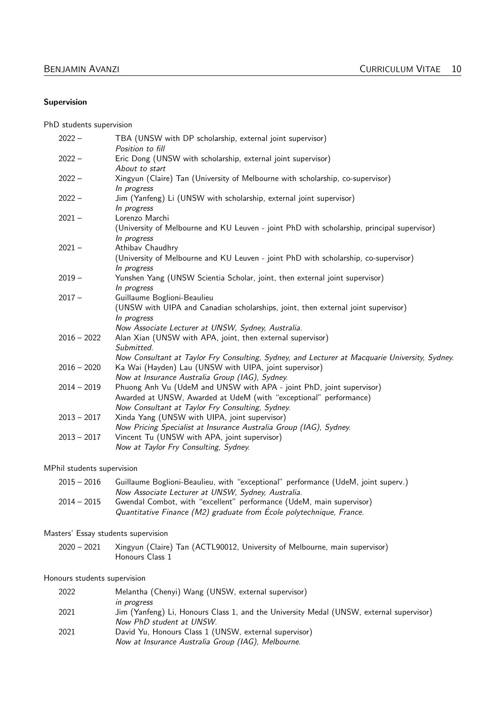#### Supervision

PhD students supervision

| $2022 -$      | TBA (UNSW with DP scholarship, external joint supervisor)<br>Position to fill                                                                                                                 |
|---------------|-----------------------------------------------------------------------------------------------------------------------------------------------------------------------------------------------|
| $2022 -$      | Eric Dong (UNSW with scholarship, external joint supervisor)<br>About to start                                                                                                                |
| $2022 -$      | Xingyun (Claire) Tan (University of Melbourne with scholarship, co-supervisor)<br>In progress                                                                                                 |
| $2022 -$      | Jim (Yanfeng) Li (UNSW with scholarship, external joint supervisor)<br>In progress                                                                                                            |
| $2021 -$      | Lorenzo Marchi<br>(University of Melbourne and KU Leuven - joint PhD with scholarship, principal supervisor)<br>In progress                                                                   |
| $2021 -$      | Athibav Chaudhry<br>(University of Melbourne and KU Leuven - joint PhD with scholarship, co-supervisor)<br>In progress                                                                        |
| $2019 -$      | Yunshen Yang (UNSW Scientia Scholar, joint, then external joint supervisor)<br>In progress                                                                                                    |
| $2017 -$      | Guillaume Boglioni-Beaulieu<br>(UNSW with UIPA and Canadian scholarships, joint, then external joint supervisor)<br>In progress<br>Now Associate Lecturer at UNSW, Sydney, Australia.         |
| $2016 - 2022$ | Alan Xian (UNSW with APA, joint, then external supervisor)<br>Submitted.<br>Now Consultant at Taylor Fry Consulting, Sydney, and Lecturer at Macquarie University, Sydney.                    |
| $2016 - 2020$ | Ka Wai (Hayden) Lau (UNSW with UIPA, joint supervisor)<br>Now at Insurance Australia Group (IAG), Sydney.                                                                                     |
| $2014 - 2019$ | Phuong Anh Vu (UdeM and UNSW with APA - joint PhD, joint supervisor)<br>Awarded at UNSW, Awarded at UdeM (with "exceptional" performance)<br>Now Consultant at Taylor Fry Consulting, Sydney. |
| $2013 - 2017$ | Xinda Yang (UNSW with UIPA, joint supervisor)<br>Now Pricing Specialist at Insurance Australia Group (IAG), Sydney.                                                                           |
| $2013 - 2017$ | Vincent Tu (UNSW with APA, joint supervisor)<br>Now at Taylor Fry Consulting, Sydney.                                                                                                         |

MPhil students supervision

| $2015 - 2016$ | Guillaume Boglioni-Beaulieu, with "exceptional" performance (UdeM, joint superv.) |
|---------------|-----------------------------------------------------------------------------------|
|               | Now Associate Lecturer at UNSW, Sydney, Australia.                                |
| $2014 - 2015$ | Gwendal Combot, with "excellent" performance (UdeM, main supervisor)              |
|               | Quantitative Finance (M2) graduate from École polytechnique, France.              |

#### Masters' Essay students supervision

2020 – 2021 Xingyun (Claire) Tan (ACTL90012, University of Melbourne, main supervisor) Honours Class 1

#### Honours students supervision

| 2022 | Melantha (Chenyi) Wang (UNSW, external supervisor)                                      |
|------|-----------------------------------------------------------------------------------------|
|      | <i>in progress</i>                                                                      |
| 2021 | Jim (Yanfeng) Li, Honours Class 1, and the University Medal (UNSW, external supervisor) |
|      | Now PhD student at UNSW.                                                                |
| 2021 | David Yu, Honours Class 1 (UNSW, external supervisor)                                   |
|      | Now at Insurance Australia Group (IAG), Melbourne.                                      |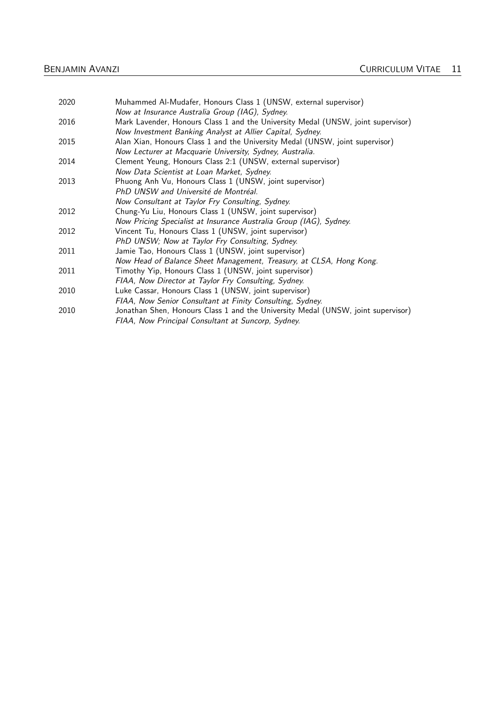| Muhammed Al-Mudafer, Honours Class 1 (UNSW, external supervisor)                 |
|----------------------------------------------------------------------------------|
| Now at Insurance Australia Group (IAG), Sydney.                                  |
| Mark Lavender, Honours Class 1 and the University Medal (UNSW, joint supervisor) |
| Now Investment Banking Analyst at Allier Capital, Sydney.                        |
| Alan Xian, Honours Class 1 and the University Medal (UNSW, joint supervisor)     |
| Now Lecturer at Macquarie University, Sydney, Australia.                         |
| Clement Yeung, Honours Class 2:1 (UNSW, external supervisor)                     |
| Now Data Scientist at Loan Market, Sydney.                                       |
| Phuong Anh Vu, Honours Class 1 (UNSW, joint supervisor)                          |
| PhD UNSW and Université de Montréal.                                             |
| Now Consultant at Taylor Fry Consulting, Sydney.                                 |
| Chung-Yu Liu, Honours Class 1 (UNSW, joint supervisor)                           |
| Now Pricing Specialist at Insurance Australia Group (IAG), Sydney.               |
| Vincent Tu, Honours Class 1 (UNSW, joint supervisor)                             |
| PhD UNSW; Now at Taylor Fry Consulting, Sydney.                                  |
| Jamie Tao, Honours Class 1 (UNSW, joint supervisor)                              |
| Now Head of Balance Sheet Management, Treasury, at CLSA, Hong Kong.              |
| Timothy Yip, Honours Class 1 (UNSW, joint supervisor)                            |
| FIAA, Now Director at Taylor Fry Consulting, Sydney.                             |
| Luke Cassar, Honours Class 1 (UNSW, joint supervisor)                            |
| FIAA, Now Senior Consultant at Finity Consulting, Sydney.                        |
| Jonathan Shen, Honours Class 1 and the University Medal (UNSW, joint supervisor) |
| FIAA, Now Principal Consultant at Suncorp, Sydney.                               |
|                                                                                  |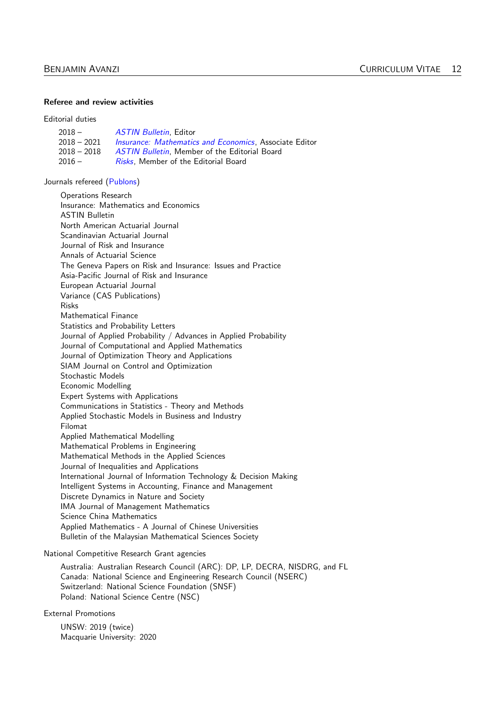#### Referee and review activities

Editorial duties

| 2018 –      | <b>ASTIN Bulletin</b> , Editor                                |
|-------------|---------------------------------------------------------------|
| 2018 – 2021 | <i>Insurance: Mathematics and Economics.</i> Associate Editor |
| 2018 – 2018 | <b>ASTIN Bulletin.</b> Member of the Editorial Board          |
| 2016 –      | <i>Risks</i> . Member of the Editorial Board                  |

Journals refereed [\(Publons\)](https://publons.com/author/1339617/benjamin-avanzi)

Operations Research Insurance: Mathematics and Economics ASTIN Bulletin North American Actuarial Journal Scandinavian Actuarial Journal Journal of Risk and Insurance Annals of Actuarial Science The Geneva Papers on Risk and Insurance: Issues and Practice Asia-Pacific Journal of Risk and Insurance European Actuarial Journal Variance (CAS Publications) Risks Mathematical Finance Statistics and Probability Letters Journal of Applied Probability / Advances in Applied Probability Journal of Computational and Applied Mathematics Journal of Optimization Theory and Applications SIAM Journal on Control and Optimization Stochastic Models Economic Modelling Expert Systems with Applications Communications in Statistics - Theory and Methods Applied Stochastic Models in Business and Industry Filomat Applied Mathematical Modelling Mathematical Problems in Engineering Mathematical Methods in the Applied Sciences Journal of Inequalities and Applications International Journal of Information Technology & Decision Making Intelligent Systems in Accounting, Finance and Management Discrete Dynamics in Nature and Society IMA Journal of Management Mathematics Science China Mathematics Applied Mathematics - A Journal of Chinese Universities Bulletin of the Malaysian Mathematical Sciences Society

National Competitive Research Grant agencies

Australia: Australian Research Council (ARC): DP, LP, DECRA, NISDRG, and FL Canada: National Science and Engineering Research Council (NSERC) Switzerland: National Science Foundation (SNSF) Poland: National Science Centre (NSC)

External Promotions

UNSW: 2019 (twice) Macquarie University: 2020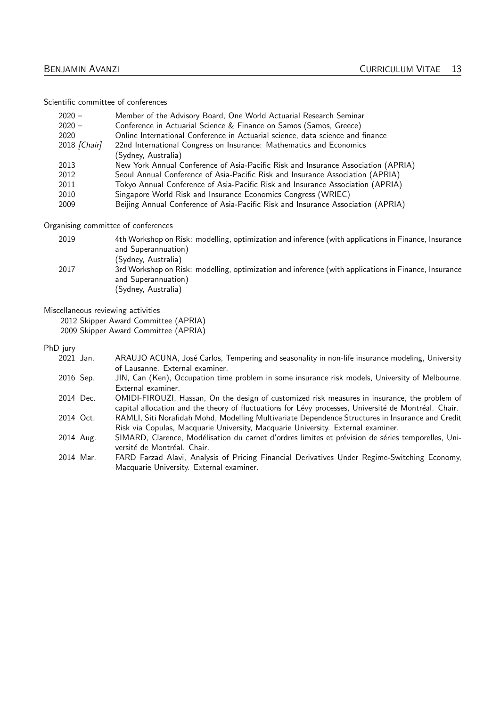Scientific committee of conferences

| $2020 -$<br>$2020 -$<br>2020<br>2018 [Chair] | Member of the Advisory Board, One World Actuarial Research Seminar<br>Conference in Actuarial Science & Finance on Samos (Samos, Greece)<br>Online International Conference in Actuarial science, data science and finance<br>22nd International Congress on Insurance: Mathematics and Economics<br>(Sydney, Australia) |
|----------------------------------------------|--------------------------------------------------------------------------------------------------------------------------------------------------------------------------------------------------------------------------------------------------------------------------------------------------------------------------|
| 2013                                         | New York Annual Conference of Asia-Pacific Risk and Insurance Association (APRIA)                                                                                                                                                                                                                                        |
| 2012                                         | Seoul Annual Conference of Asia-Pacific Risk and Insurance Association (APRIA)                                                                                                                                                                                                                                           |
| 2011                                         | Tokyo Annual Conference of Asia-Pacific Risk and Insurance Association (APRIA)                                                                                                                                                                                                                                           |
| 2010                                         | Singapore World Risk and Insurance Economics Congress (WRIEC)                                                                                                                                                                                                                                                            |
| 2009                                         | Beijing Annual Conference of Asia-Pacific Risk and Insurance Association (APRIA)                                                                                                                                                                                                                                         |

Organising committee of conferences

| 2019 | 4th Workshop on Risk: modelling, optimization and inference (with applications in Finance, Insurance |
|------|------------------------------------------------------------------------------------------------------|
|      | and Superannuation)                                                                                  |
|      | (Sydney, Australia)                                                                                  |
| 2017 | 3rd Workshop on Risk: modelling, optimization and inference (with applications in Finance, Insurance |
|      | and Superannuation)                                                                                  |
|      | (Sydney, Australia)                                                                                  |

Miscellaneous reviewing activities

2012 Skipper Award Committee (APRIA)

2009 Skipper Award Committee (APRIA)

PhD jury

| 2021 Jan. | ARAUJO ACUNA, José Carlos, Tempering and seasonality in non-life insurance modeling, University      |
|-----------|------------------------------------------------------------------------------------------------------|
|           | of Lausanne. External examiner.                                                                      |
| 2016 Sep. | JIN, Can (Ken), Occupation time problem in some insurance risk models, University of Melbourne.      |
|           | External examiner.                                                                                   |
| 2014 Dec. | OMIDI-FIROUZI, Hassan, On the design of customized risk measures in insurance, the problem of        |
|           | capital allocation and the theory of fluctuations for Lévy processes, Université de Montréal. Chair. |
| 2014 Oct. | RAMLI, Siti Norafidah Mohd, Modelling Multivariate Dependence Structures in Insurance and Credit     |
|           | Risk via Copulas, Macquarie University, Macquarie University. External examiner.                     |
| 0.011M    |                                                                                                      |

2014 Aug. SIMARD, Clarence, Modélisation du carnet d'ordres limites et prévision de séries temporelles, Université de Montréal. Chair.

2014 Mar. FARD Farzad Alavi, Analysis of Pricing Financial Derivatives Under Regime-Switching Economy, Macquarie University. External examiner.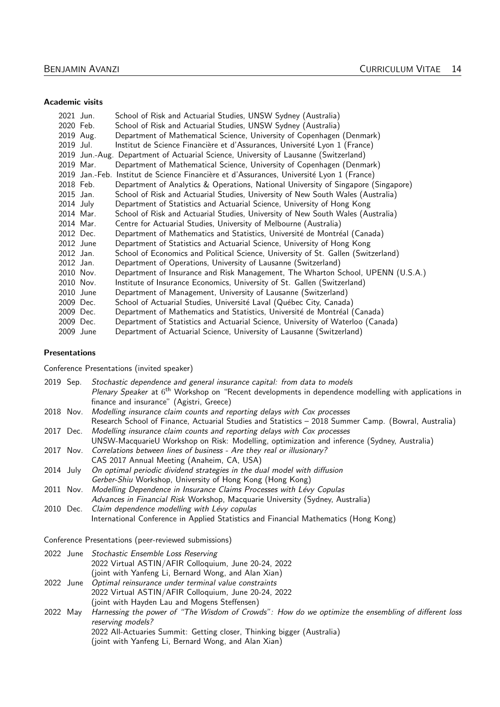#### Academic visits

|           | 2021 Jun. | School of Risk and Actuarial Studies, UNSW Sydney (Australia)                             |
|-----------|-----------|-------------------------------------------------------------------------------------------|
|           | 2020 Feb. | School of Risk and Actuarial Studies, UNSW Sydney (Australia)                             |
|           | 2019 Aug. | Department of Mathematical Science, University of Copenhagen (Denmark)                    |
| 2019 Jul. |           | Institut de Science Financière et d'Assurances, Université Lyon 1 (France)                |
|           |           | 2019 Jun.-Aug. Department of Actuarial Science, University of Lausanne (Switzerland)      |
|           | 2019 Mar. | Department of Mathematical Science, University of Copenhagen (Denmark)                    |
|           |           | 2019 Jan.-Feb. Institut de Science Financière et d'Assurances, Université Lyon 1 (France) |
|           | 2018 Feb. | Department of Analytics & Operations, National University of Singapore (Singapore)        |
|           | 2015 Jan. | School of Risk and Actuarial Studies, University of New South Wales (Australia)           |
|           | 2014 July | Department of Statistics and Actuarial Science, University of Hong Kong                   |
|           | 2014 Mar. | School of Risk and Actuarial Studies, University of New South Wales (Australia)           |
|           | 2014 Mar. | Centre for Actuarial Studies, University of Melbourne (Australia)                         |
|           | 2012 Dec. | Department of Mathematics and Statistics, Université de Montréal (Canada)                 |
|           | 2012 June | Department of Statistics and Actuarial Science, University of Hong Kong                   |
|           | 2012 Jan. | School of Economics and Political Science, University of St. Gallen (Switzerland)         |
|           | 2012 Jan. | Department of Operations, University of Lausanne (Switzerland)                            |
|           | 2010 Nov. | Department of Insurance and Risk Management, The Wharton School, UPENN (U.S.A.)           |
|           | 2010 Nov. | Institute of Insurance Economics, University of St. Gallen (Switzerland)                  |
|           | 2010 June | Department of Management, University of Lausanne (Switzerland)                            |
|           | 2009 Dec. | School of Actuarial Studies, Université Laval (Québec City, Canada)                       |
|           | 2009 Dec. | Department of Mathematics and Statistics, Université de Montréal (Canada)                 |
|           | 2009 Dec. | Department of Statistics and Actuarial Science, University of Waterloo (Canada)           |
|           | 2009 June | Department of Actuarial Science, University of Lausanne (Switzerland)                     |

#### Presentations

Conference Presentations (invited speaker)

|           | 2019 Sep. Stochastic dependence and general insurance capital: from data to models                                                                                  |
|-----------|---------------------------------------------------------------------------------------------------------------------------------------------------------------------|
|           | <i>Plenary Speaker</i> at 6 <sup>th</sup> Workshop on "Recent developments in dependence modelling with applications in<br>finance and insurance" (Agistri, Greece) |
|           | 2018 Nov. Modelling insurance claim counts and reporting delays with Cox processes                                                                                  |
|           | Research School of Finance, Actuarial Studies and Statistics - 2018 Summer Camp. (Bowral, Australia)                                                                |
|           | 2017 Dec. Modelling insurance claim counts and reporting delays with Cox processes                                                                                  |
|           | UNSW-MacquarieU Workshop on Risk: Modelling, optimization and inference (Sydney, Australia)                                                                         |
|           | 2017 Nov. Correlations between lines of business - Are they real or illusionary?                                                                                    |
|           | CAS 2017 Annual Meeting (Anaheim, CA, USA)                                                                                                                          |
| 2014 July | On optimal periodic dividend strategies in the dual model with diffusion                                                                                            |
|           | Gerber-Shiu Workshop, University of Hong Kong (Hong Kong)                                                                                                           |
| 2011 Nov. | Modelling Dependence in Insurance Claims Processes with Lévy Copulas                                                                                                |
|           | Advances in Financial Risk Workshop, Macquarie University (Sydney, Australia)                                                                                       |
|           | 2010 Dec. Claim dependence modelling with Lévy copulas                                                                                                              |
|           | International Conference in Applied Statistics and Financial Mathematics (Hong Kong)                                                                                |
|           |                                                                                                                                                                     |

Conference Presentations (peer-reviewed submissions)

|  | 2022 June Stochastic Ensemble Loss Reserving         |
|--|------------------------------------------------------|
|  | 2022 Virtual ASTIN/AFIR Colloquium, June 20-24, 2022 |
|  | (joint with Yanfeng Li, Bernard Wong, and Alan Xian) |

- 2022 June Optimal reinsurance under terminal value constraints 2022 Virtual ASTIN/AFIR Colloquium, June 20-24, 2022
	- (joint with Hayden Lau and Mogens Steffensen)
- 2022 May Harnessing the power of "The Wisdom of Crowds": How do we optimize the ensembling of different loss reserving models? 2022 All-Actuaries Summit: Getting closer, Thinking bigger (Australia) (joint with Yanfeng Li, Bernard Wong, and Alan Xian)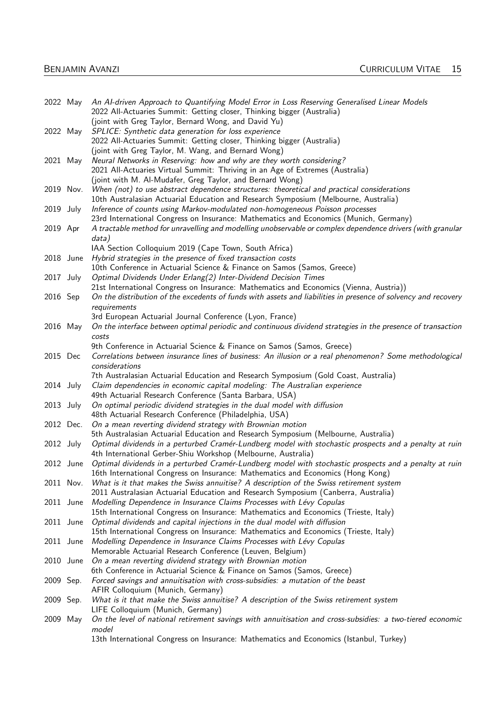|             | 2022 May    | An Al-driven Approach to Quantifying Model Error in Loss Reserving Generalised Linear Models                   |
|-------------|-------------|----------------------------------------------------------------------------------------------------------------|
|             |             | 2022 All-Actuaries Summit: Getting closer, Thinking bigger (Australia)                                         |
|             |             | (joint with Greg Taylor, Bernard Wong, and David Yu)                                                           |
|             | 2022 May    | SPLICE: Synthetic data generation for loss experience                                                          |
|             |             | 2022 All-Actuaries Summit: Getting closer, Thinking bigger (Australia)                                         |
|             |             | (joint with Greg Taylor, M. Wang, and Bernard Wong)                                                            |
| 2021 May    |             | Neural Networks in Reserving: how and why are they worth considering?                                          |
|             |             | 2021 All-Actuaries Virtual Summit: Thriving in an Age of Extremes (Australia)                                  |
|             |             | (joint with M. Al-Mudafer, Greg Taylor, and Bernard Wong)                                                      |
|             | 2019 Nov.   | When (not) to use abstract dependence structures: theoretical and practical considerations                     |
|             |             | 10th Australasian Actuarial Education and Research Symposium (Melbourne, Australia)                            |
| 2019 July   |             | Inference of counts using Markov-modulated non-homogeneous Poisson processes                                   |
|             |             | 23rd International Congress on Insurance: Mathematics and Economics (Munich, Germany)                          |
| 2019 Apr    |             | A tractable method for unravelling and modelling unobservable or complex dependence drivers (with granular     |
|             |             | data)                                                                                                          |
|             |             | IAA Section Colloquium 2019 (Cape Town, South Africa)                                                          |
|             | 2018 June   | Hybrid strategies in the presence of fixed transaction costs                                                   |
|             |             | 10th Conference in Actuarial Science & Finance on Samos (Samos, Greece)                                        |
| 2017 July   |             | Optimal Dividends Under Erlang(2) Inter-Dividend Decision Times                                                |
|             |             | 21st International Congress on Insurance: Mathematics and Economics (Vienna, Austria))                         |
| 2016 Sep    |             | On the distribution of the excedents of funds with assets and liabilities in presence of solvency and recovery |
|             |             | requirements                                                                                                   |
|             |             | 3rd European Actuarial Journal Conference (Lyon, France)                                                       |
| 2016 May    |             | On the interface between optimal periodic and continuous dividend strategies in the presence of transaction    |
|             |             | costs                                                                                                          |
|             |             | 9th Conference in Actuarial Science & Finance on Samos (Samos, Greece)                                         |
| 2015 Dec    |             | Correlations between insurance lines of business: An illusion or a real phenomenon? Some methodological        |
|             |             | considerations                                                                                                 |
|             |             | 7th Australasian Actuarial Education and Research Symposium (Gold Coast, Australia)                            |
| $2014$ July |             | Claim dependencies in economic capital modeling: The Australian experience                                     |
|             |             | 49th Actuarial Research Conference (Santa Barbara, USA)                                                        |
| 2013 July   |             | On optimal periodic dividend strategies in the dual model with diffusion                                       |
|             |             | 48th Actuarial Research Conference (Philadelphia, USA)                                                         |
|             | 2012 Dec.   | On a mean reverting dividend strategy with Brownian motion                                                     |
|             |             | 5th Australasian Actuarial Education and Research Symposium (Melbourne, Australia)                             |
| 2012 July   |             | Optimal dividends in a perturbed Cramér-Lundberg model with stochastic prospects and a penalty at ruin         |
|             |             | 4th International Gerber-Shiu Workshop (Melbourne, Australia)                                                  |
|             | 2012 June   | Optimal dividends in a perturbed Cramér-Lundberg model with stochastic prospects and a penalty at ruin         |
|             |             | 16th International Congress on Insurance: Mathematics and Economics (Hong Kong)                                |
|             | 2011 Nov.   | What is it that makes the Swiss annuitise? A description of the Swiss retirement system                        |
|             |             | 2011 Australasian Actuarial Education and Research Symposium (Canberra, Australia)                             |
|             | $2011$ June | Modelling Dependence in Insurance Claims Processes with Lévy Copulas                                           |
|             |             | 15th International Congress on Insurance: Mathematics and Economics (Trieste, Italy)                           |
|             | 2011 June   | Optimal dividends and capital injections in the dual model with diffusion                                      |
|             |             | 15th International Congress on Insurance: Mathematics and Economics (Trieste, Italy)                           |
|             | 2011 June   | Modelling Dependence in Insurance Claims Processes with Lévy Copulas                                           |
|             |             | Memorable Actuarial Research Conference (Leuven, Belgium)                                                      |
|             | 2010 June   | On a mean reverting dividend strategy with Brownian motion                                                     |
|             |             | 6th Conference in Actuarial Science & Finance on Samos (Samos, Greece)                                         |
| 2009 Sep.   |             | Forced savings and annuitisation with cross-subsidies: a mutation of the beast                                 |
|             |             | AFIR Colloquium (Munich, Germany)                                                                              |
| 2009 Sep.   |             | What is it that make the Swiss annuitise? A description of the Swiss retirement system                         |
|             |             | LIFE Colloquium (Munich, Germany)                                                                              |
| 2009 May    |             | On the level of national retirement savings with annuitisation and cross-subsidies: a two-tiered economic      |
|             |             | model                                                                                                          |
|             |             | 13th International Congress on Insurance: Mathematics and Economics (Istanbul, Turkey)                         |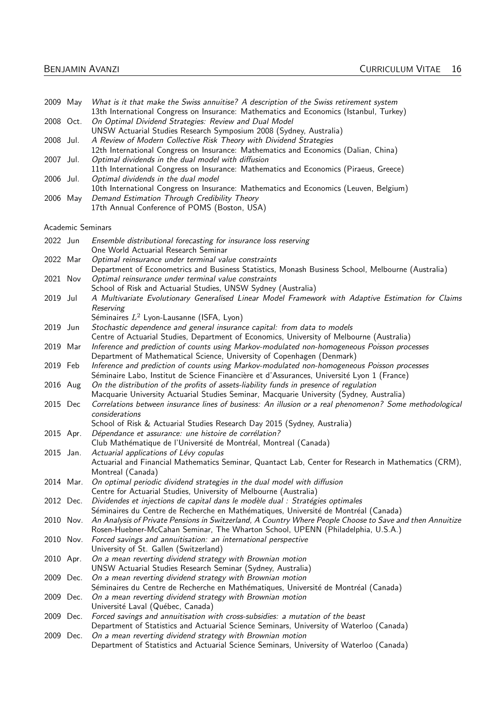| 2009 May  |                   | What is it that make the Swiss annuitise? A description of the Swiss retirement system<br>13th International Congress on Insurance: Mathematics and Economics (Istanbul, Turkey)            |
|-----------|-------------------|---------------------------------------------------------------------------------------------------------------------------------------------------------------------------------------------|
| 2008 Oct. |                   | On Optimal Dividend Strategies: Review and Dual Model<br>UNSW Actuarial Studies Research Symposium 2008 (Sydney, Australia)                                                                 |
| 2008 Jul. |                   | A Review of Modern Collective Risk Theory with Dividend Strategies<br>12th International Congress on Insurance: Mathematics and Economics (Dalian, China)                                   |
| 2007 Jul. |                   | Optimal dividends in the dual model with diffusion<br>11th International Congress on Insurance: Mathematics and Economics (Piraeus, Greece)                                                 |
| 2006 Jul. |                   | Optimal dividends in the dual model                                                                                                                                                         |
| 2006 May  |                   | 10th International Congress on Insurance: Mathematics and Economics (Leuven, Belgium)<br>Demand Estimation Through Credibility Theory<br>17th Annual Conference of POMS (Boston, USA)       |
|           | Academic Seminars |                                                                                                                                                                                             |
| 2022 Jun  |                   | Ensemble distributional forecasting for insurance loss reserving<br>One World Actuarial Research Seminar                                                                                    |
| 2022 Mar  |                   | Optimal reinsurance under terminal value constraints<br>Department of Econometrics and Business Statistics, Monash Business School, Melbourne (Australia)                                   |
| 2021 Nov  |                   | Optimal reinsurance under terminal value constraints<br>School of Risk and Actuarial Studies, UNSW Sydney (Australia)                                                                       |
| 2019 Jul  |                   | A Multivariate Evolutionary Generalised Linear Model Framework with Adaptive Estimation for Claims                                                                                          |
|           |                   | Reserving<br>Séminaires $L^2$ Lyon-Lausanne (ISFA, Lyon)                                                                                                                                    |
| 2019 Jun  |                   | Stochastic dependence and general insurance capital: from data to models<br>Centre of Actuarial Studies, Department of Economics, University of Melbourne (Australia)                       |
| 2019 Mar  |                   | Inference and prediction of counts using Markov-modulated non-homogeneous Poisson processes<br>Department of Mathematical Science, University of Copenhagen (Denmark)                       |
| 2019 Feb  |                   | Inference and prediction of counts using Markov-modulated non-homogeneous Poisson processes<br>Séminaire Labo, Institut de Science Financière et d'Assurances, Université Lyon 1 (France)   |
| 2016 Aug  |                   | On the distribution of the profits of assets-liability funds in presence of regulation<br>Macquarie University Actuarial Studies Seminar, Macquarie University (Sydney, Australia)          |
| 2015 Dec  |                   | Correlations between insurance lines of business: An illusion or a real phenomenon? Some methodological<br>considerations                                                                   |
|           |                   | School of Risk & Actuarial Studies Research Day 2015 (Sydney, Australia)                                                                                                                    |
| 2015 Apr. |                   | Dépendance et assurance: une histoire de corrélation?<br>Club Mathématique de l'Université de Montréal, Montreal (Canada)                                                                   |
| 2015 Jan. |                   | Actuarial applications of Lévy copulas<br>Actuarial and Financial Mathematics Seminar, Quantact Lab, Center for Research in Mathematics (CRM),                                              |
|           | 2014 Mar.         | Montreal (Canada)<br>On optimal periodic dividend strategies in the dual model with diffusion                                                                                               |
| 2012 Dec. |                   | Centre for Actuarial Studies, University of Melbourne (Australia)<br>Dividendes et injections de capital dans le modèle dual : Stratégies optimales                                         |
|           |                   | Séminaires du Centre de Recherche en Mathématiques, Université de Montréal (Canada)                                                                                                         |
| 2010 Nov. |                   | An Analysis of Private Pensions in Switzerland, A Country Where People Choose to Save and then Annuitize<br>Rosen-Huebner-McCahan Seminar, The Wharton School, UPENN (Philadelphia, U.S.A.) |
| 2010 Nov. |                   | Forced savings and annuitisation: an international perspective<br>University of St. Gallen (Switzerland)                                                                                    |
| 2010 Apr. |                   | On a mean reverting dividend strategy with Brownian motion<br>UNSW Actuarial Studies Research Seminar (Sydney, Australia)                                                                   |
|           | 2009 Dec.         | On a mean reverting dividend strategy with Brownian motion<br>Séminaires du Centre de Recherche en Mathématiques, Université de Montréal (Canada)                                           |
| 2009 Dec. |                   | On a mean reverting dividend strategy with Brownian motion                                                                                                                                  |
| 2009 Dec. |                   | Université Laval (Québec, Canada)<br>Forced savings and annuitisation with cross-subsidies: a mutation of the beast                                                                         |
|           | 2009 Dec.         | Department of Statistics and Actuarial Science Seminars, University of Waterloo (Canada)<br>On a mean reverting dividend strategy with Brownian motion                                      |
|           |                   | Department of Statistics and Actuarial Science Seminars, University of Waterloo (Canada)                                                                                                    |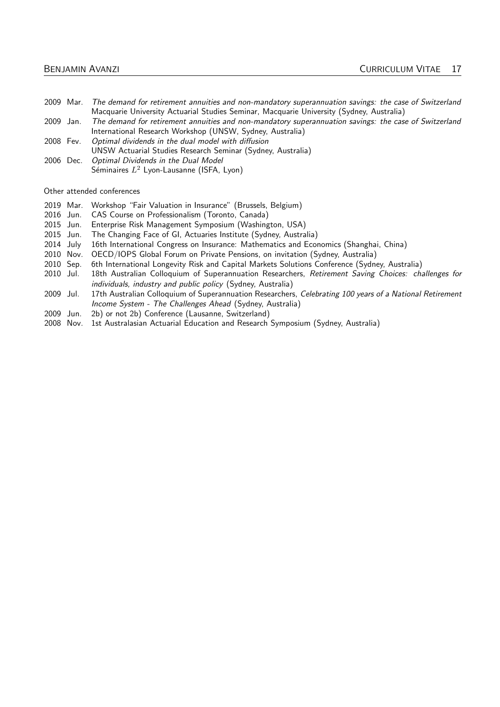- 2009 Mar. The demand for retirement annuities and non-mandatory superannuation savings: the case of Switzerland Macquarie University Actuarial Studies Seminar, Macquarie University (Sydney, Australia)
- 2009 Jan. The demand for retirement annuities and non-mandatory superannuation savings: the case of Switzerland International Research Workshop (UNSW, Sydney, Australia)
- 2008 Fev. Optimal dividends in the dual model with diffusion
- UNSW Actuarial Studies Research Seminar (Sydney, Australia)
- 2006 Dec. Optimal Dividends in the Dual Model Séminaires  $L^2$  Lyon-Lausanne (ISFA, Lyon)

Other attended conferences

- 2019 Mar. Workshop "Fair Valuation in Insurance" (Brussels, Belgium)
- 2016 Jun. CAS Course on Professionalism (Toronto, Canada)
- 2015 Jun. Enterprise Risk Management Symposium (Washington, USA)
- 2015 Jun. The Changing Face of GI, Actuaries Institute (Sydney, Australia)
- 2014 July 16th International Congress on Insurance: Mathematics and Economics (Shanghai, China)
- 2010 Nov. OECD/IOPS Global Forum on Private Pensions, on invitation (Sydney, Australia)
- 2010 Sep. 6th International Longevity Risk and Capital Markets Solutions Conference (Sydney, Australia)
- 2010 Jul. 18th Australian Colloquium of Superannuation Researchers, Retirement Saving Choices: challenges for individuals, industry and public policy (Sydney, Australia)
- 2009 Jul. 17th Australian Colloquium of Superannuation Researchers, Celebrating 100 years of a National Retirement Income System - The Challenges Ahead (Sydney, Australia)
- 2009 Jun. 2b) or not 2b) Conference (Lausanne, Switzerland)
- 2008 Nov. 1st Australasian Actuarial Education and Research Symposium (Sydney, Australia)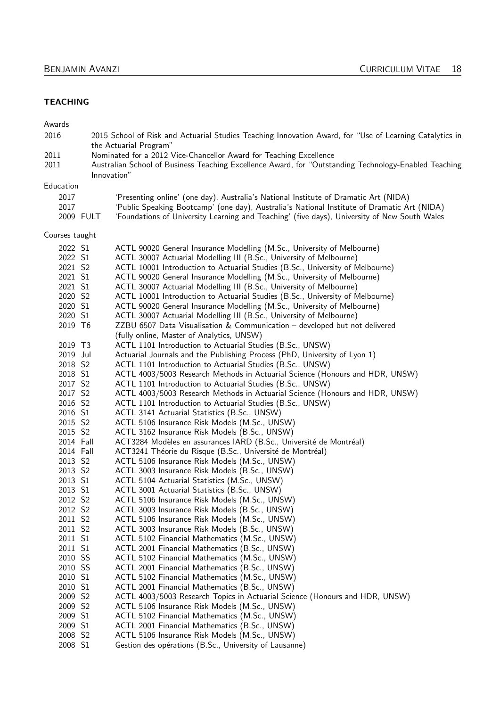### **TEACHING**

Awards

| 2016                |             | 2015 School of Risk and Actuarial Studies Teaching Innovation Award, for "Use of Learning Catalytics in<br>the Actuarial Program"                                                           |
|---------------------|-------------|---------------------------------------------------------------------------------------------------------------------------------------------------------------------------------------------|
| 2011<br>2011        | Innovation" | Nominated for a 2012 Vice-Chancellor Award for Teaching Excellence<br>Australian School of Business Teaching Excellence Award, for "Outstanding Technology-Enabled Teaching                 |
| Education           |             |                                                                                                                                                                                             |
| 2017                |             | 'Presenting online' (one day), Australia's National Institute of Dramatic Art (NIDA)                                                                                                        |
| 2017                | 2009 FULT   | 'Public Speaking Bootcamp' (one day), Australia's National Institute of Dramatic Art (NIDA)<br>'Foundations of University Learning and Teaching' (five days), University of New South Wales |
| Courses taught      |             |                                                                                                                                                                                             |
|                     |             |                                                                                                                                                                                             |
| 2022 S1             |             | ACTL 90020 General Insurance Modelling (M.Sc., University of Melbourne)                                                                                                                     |
| 2022 S1             |             | ACTL 30007 Actuarial Modelling III (B.Sc., University of Melbourne)                                                                                                                         |
| 2021 S2             |             | ACTL 10001 Introduction to Actuarial Studies (B.Sc., University of Melbourne)                                                                                                               |
| 2021 S1             |             | ACTL 90020 General Insurance Modelling (M.Sc., University of Melbourne)                                                                                                                     |
| 2021 S1<br>2020 S2  |             | ACTL 30007 Actuarial Modelling III (B.Sc., University of Melbourne)<br>ACTL 10001 Introduction to Actuarial Studies (B.Sc., University of Melbourne)                                        |
| 2020 S1             |             | ACTL 90020 General Insurance Modelling (M.Sc., University of Melbourne)                                                                                                                     |
| 2020 S1             |             | ACTL 30007 Actuarial Modelling III (B.Sc., University of Melbourne)                                                                                                                         |
| 2019 T6             |             | ZZBU 6507 Data Visualisation & Communication - developed but not delivered                                                                                                                  |
|                     |             | (fully online, Master of Analytics, UNSW)                                                                                                                                                   |
| 2019 T3             |             | ACTL 1101 Introduction to Actuarial Studies (B.Sc., UNSW)                                                                                                                                   |
| 2019 Jul            |             | Actuarial Journals and the Publishing Process (PhD, University of Lyon 1)                                                                                                                   |
| 2018 S2             |             | ACTL 1101 Introduction to Actuarial Studies (B.Sc., UNSW)                                                                                                                                   |
| 2018 S1             |             | ACTL 4003/5003 Research Methods in Actuarial Science (Honours and HDR, UNSW)                                                                                                                |
| 2017 S2             |             | ACTL 1101 Introduction to Actuarial Studies (B.Sc., UNSW)                                                                                                                                   |
| 2017 S2             |             | ACTL 4003/5003 Research Methods in Actuarial Science (Honours and HDR, UNSW)                                                                                                                |
| 2016 S2             |             | ACTL 1101 Introduction to Actuarial Studies (B.Sc., UNSW)                                                                                                                                   |
| 2016 S1             |             | ACTL 3141 Actuarial Statistics (B.Sc., UNSW)                                                                                                                                                |
| 2015 S2             |             | ACTL 5106 Insurance Risk Models (M.Sc., UNSW)                                                                                                                                               |
| 2015 S2             |             | ACTL 3162 Insurance Risk Models (B.Sc., UNSW)                                                                                                                                               |
| 2014 Fall           |             | ACT3284 Modèles en assurances IARD (B.Sc., Université de Montréal)                                                                                                                          |
| 2014 Fall           |             | ACT3241 Théorie du Risque (B.Sc., Université de Montréal)                                                                                                                                   |
| 2013 S2             |             | ACTL 5106 Insurance Risk Models (M.Sc., UNSW)                                                                                                                                               |
| 2013 S2             |             | ACTL 3003 Insurance Risk Models (B.Sc., UNSW)                                                                                                                                               |
| 2013 S1             |             | ACTL 5104 Actuarial Statistics (M.Sc., UNSW)                                                                                                                                                |
| 2013 S1             |             | ACTL 3001 Actuarial Statistics (B.Sc., UNSW)                                                                                                                                                |
| 2012 S2             |             | ACTL 5106 Insurance Risk Models (M.Sc., UNSW)                                                                                                                                               |
| 2012 S2             |             | ACTL 3003 Insurance Risk Models (B.Sc., UNSW)                                                                                                                                               |
| 2011 S2             |             | ACTL 5106 Insurance Risk Models (M.Sc., UNSW)                                                                                                                                               |
| 2011 S2             |             | ACTL 3003 Insurance Risk Models (B.Sc., UNSW)                                                                                                                                               |
| 2011 S1             |             | ACTL 5102 Financial Mathematics (M.Sc., UNSW)                                                                                                                                               |
| 2011 S1             |             | ACTL 2001 Financial Mathematics (B.Sc., UNSW)                                                                                                                                               |
| 2010 SS             |             | ACTL 5102 Financial Mathematics (M.Sc., UNSW)                                                                                                                                               |
| 2010 SS             |             | ACTL 2001 Financial Mathematics (B.Sc., UNSW)                                                                                                                                               |
| 2010 S1             |             | ACTL 5102 Financial Mathematics (M.Sc., UNSW)                                                                                                                                               |
| 2010 S1             |             | ACTL 2001 Financial Mathematics (B.Sc., UNSW)                                                                                                                                               |
| 2009 S2             |             | ACTL 4003/5003 Research Topics in Actuarial Science (Honours and HDR, UNSW)                                                                                                                 |
| 2009 S2             |             | ACTL 5106 Insurance Risk Models (M.Sc., UNSW)                                                                                                                                               |
| 2009 S1             |             | ACTL 5102 Financial Mathematics (M.Sc., UNSW)                                                                                                                                               |
| 2009 S1             |             | ACTL 2001 Financial Mathematics (B.Sc., UNSW)                                                                                                                                               |
| 2008 S <sub>2</sub> |             | ACTL 5106 Insurance Risk Models (M.Sc., UNSW)                                                                                                                                               |
| 2008 S1             |             | Gestion des opérations (B.Sc., University of Lausanne)                                                                                                                                      |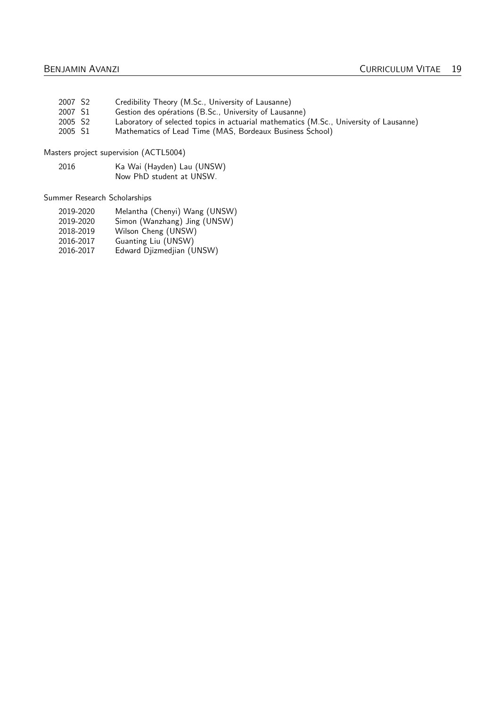- 2007 S2 Credibility Theory (M.Sc., University of Lausanne)<br>2007 S1 Gestion des opérations (B.Sc., University of Lausar
- 2007 S1 Gestion des opérations (B.Sc., University of Lausanne)<br>2005 S2 Laboratory of selected topics in actuarial mathematics
- 2005 S2 Laboratory of selected topics in actuarial mathematics (M.Sc., University of Lausanne)<br>2005 S1 Mathematics of Lead Time (MAS, Bordeaux Business School)
- Mathematics of Lead Time (MAS, Bordeaux Business School)

Masters project supervision (ACTL5004)

2016 Ka Wai (Hayden) Lau (UNSW) Now PhD student at UNSW.

Summer Research Scholarships

- 2019-2020 Melantha (Chenyi) Wang (UNSW)
- 2019-2020 Simon (Wanzhang) Jing (UNSW)
- 2018-2019 Wilson Cheng (UNSW)
- 2016-2017 Guanting Liu (UNSW)
- 2016-2017 Edward Djizmedjian (UNSW)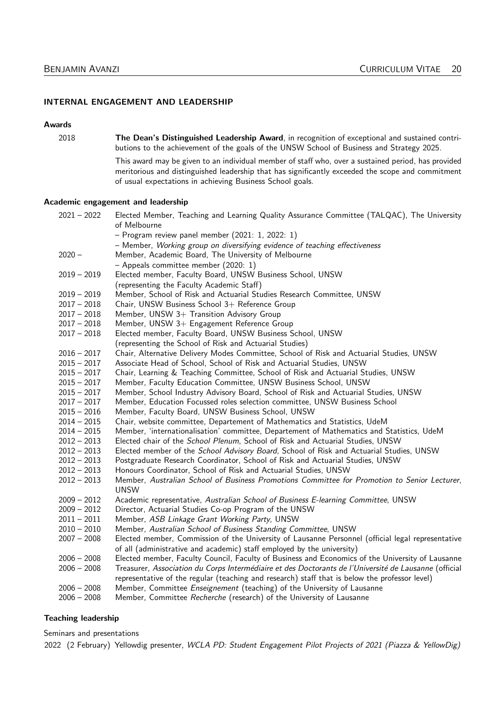#### INTERNAL ENGAGEMENT AND LEADERSHIP

#### Awards

2018 The Dean's Distinguished Leadership Award, in recognition of exceptional and sustained contributions to the achievement of the goals of the UNSW School of Business and Strategy 2025.

> This award may be given to an individual member of staff who, over a sustained period, has provided meritorious and distinguished leadership that has significantly exceeded the scope and commitment of usual expectations in achieving Business School goals.

#### Academic engagement and leadership

| $2021 - 2022$ | Elected Member, Teaching and Learning Quality Assurance Committee (TALQAC), The University<br>of Melbourne |
|---------------|------------------------------------------------------------------------------------------------------------|
|               | $-$ Program review panel member (2021: 1, 2022: 1)                                                         |
|               | - Member, Working group on diversifying evidence of teaching effectiveness                                 |
| $2020 -$      | Member, Academic Board, The University of Melbourne                                                        |
|               | $-$ Appeals committee member (2020: 1)                                                                     |
| $2019 - 2019$ | Elected member, Faculty Board, UNSW Business School, UNSW                                                  |
|               | (representing the Faculty Academic Staff)                                                                  |
| $2019 - 2019$ | Member, School of Risk and Actuarial Studies Research Committee, UNSW                                      |
| $2017 - 2018$ | Chair, UNSW Business School 3+ Reference Group                                                             |
| $2017 - 2018$ | Member, UNSW 3+ Transition Advisory Group                                                                  |
| $2017 - 2018$ | Member, UNSW 3+ Engagement Reference Group                                                                 |
| $2017 - 2018$ | Elected member, Faculty Board, UNSW Business School, UNSW                                                  |
|               | (representing the School of Risk and Actuarial Studies)                                                    |
| $2016 - 2017$ | Chair, Alternative Delivery Modes Committee, School of Risk and Actuarial Studies, UNSW                    |
| $2015 - 2017$ | Associate Head of School, School of Risk and Actuarial Studies, UNSW                                       |
| $2015 - 2017$ | Chair, Learning & Teaching Committee, School of Risk and Actuarial Studies, UNSW                           |
| $2015 - 2017$ | Member, Faculty Education Committee, UNSW Business School, UNSW                                            |
| $2015 - 2017$ | Member, School Industry Advisory Board, School of Risk and Actuarial Studies, UNSW                         |
| $2017 - 2017$ | Member, Education Focussed roles selection committee, UNSW Business School                                 |
| $2015 - 2016$ | Member, Faculty Board, UNSW Business School, UNSW                                                          |
| $2014 - 2015$ | Chair, website committee, Departement of Mathematics and Statistics, UdeM                                  |
| $2014 - 2015$ | Member, 'internationalisation' committee, Departement of Mathematics and Statistics, UdeM                  |
| $2012 - 2013$ | Elected chair of the <i>School Plenum</i> , School of Risk and Actuarial Studies, UNSW                     |
| $2012 - 2013$ | Elected member of the School Advisory Board, School of Risk and Actuarial Studies, UNSW                    |
| $2012 - 2013$ | Postgraduate Research Coordinator, School of Risk and Actuarial Studies, UNSW                              |
| $2012 - 2013$ | Honours Coordinator, School of Risk and Actuarial Studies, UNSW                                            |
| $2012 - 2013$ | Member, Australian School of Business Promotions Committee for Promotion to Senior Lecturer,               |
|               | <b>UNSW</b>                                                                                                |
| $2009 - 2012$ | Academic representative, Australian School of Business E-learning Committee, UNSW                          |
| $2009 - 2012$ | Director, Actuarial Studies Co-op Program of the UNSW                                                      |
| $2011 - 2011$ | Member, ASB Linkage Grant Working Party, UNSW                                                              |
| $2010 - 2010$ | Member, Australian School of Business Standing Committee, UNSW                                             |
| $2007 - 2008$ | Elected member, Commission of the University of Lausanne Personnel (official legal representative          |
|               | of all (administrative and academic) staff employed by the university)                                     |
| $2006 - 2008$ | Elected member, Faculty Council, Faculty of Business and Economics of the University of Lausanne           |
| $2006 - 2008$ | Treasurer, Association du Corps Intermédiaire et des Doctorants de l'Université de Lausanne (official      |
|               | representative of the regular (teaching and research) staff that is below the professor level)             |
| $2006 - 2008$ | Member, Committee Enseignement (teaching) of the University of Lausanne                                    |
| $2006 - 2008$ | Member, Committee Recherche (research) of the University of Lausanne                                       |

#### Teaching leadership

Seminars and presentations

2022 (2 February) Yellowdig presenter, WCLA PD: Student Engagement Pilot Projects of 2021 (Piazza & YellowDig)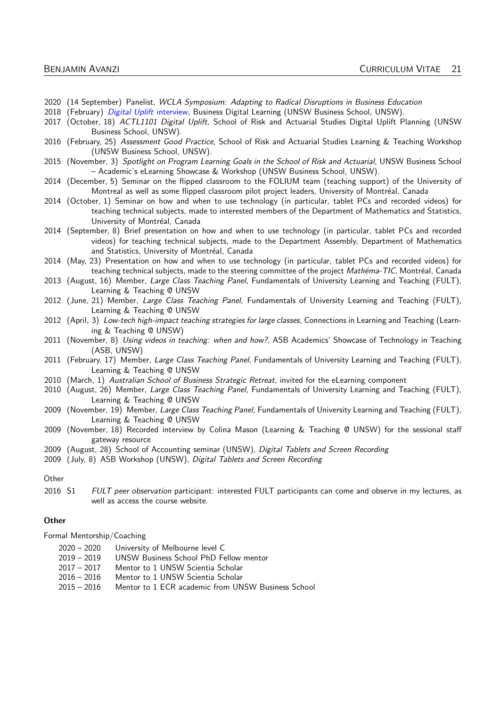- 2020 (14 September) Panelist, WCLA Symposium: Adapting to Radical Disruptions in Business Education
- 2018 (February) [Digital Uplift](https://www.youtube.com/watch?v=DxXzHkxDkKU) interview, Business Digital Learning (UNSW Business School, UNSW).
- 2017 (October, 18) ACTL1101 Digital Uplift, School of Risk and Actuarial Studies Digital Uplift Planning (UNSW Business School, UNSW).
- 2016 (February, 25) Assessment Good Practice, School of Risk and Actuarial Studies Learning & Teaching Workshop (UNSW Business School, UNSW).
- 2015 (November, 3) Spotlight on Program Learning Goals in the School of Risk and Actuarial, UNSW Business School – Academic's eLearning Showcase & Workshop (UNSW Business School, UNSW).
- 2014 (December, 5) Seminar on the flipped classroom to the FOLIUM team (teaching support) of the University of Montreal as well as some flipped classroom pilot project leaders, University of Montréal, Canada
- 2014 (October, 1) Seminar on how and when to use technology (in particular, tablet PCs and recorded videos) for teaching technical subjects, made to interested members of the Department of Mathematics and Statistics, University of Montréal, Canada
- 2014 (September, 8) Brief presentation on how and when to use technology (in particular, tablet PCs and recorded videos) for teaching technical subjects, made to the Department Assembly, Department of Mathematics and Statistics, University of Montréal, Canada
- 2014 (May, 23) Presentation on how and when to use technology (in particular, tablet PCs and recorded videos) for teaching technical subjects, made to the steering committee of the project Mathéma-TIC, Montréal, Canada
- 2013 (August, 16) Member, Large Class Teaching Panel, Fundamentals of University Learning and Teaching (FULT), Learning & Teaching @ UNSW
- 2012 (June, 21) Member, Large Class Teaching Panel, Fundamentals of University Learning and Teaching (FULT), Learning & Teaching @ UNSW
- 2012 (April, 3) Low-tech high-impact teaching strategies for large classes, Connections in Learning and Teaching (Learning & Teaching @ UNSW)
- 2011 (November, 8) Using videos in teaching: when and how?, ASB Academics' Showcase of Technology in Teaching (ASB, UNSW)
- 2011 (February, 17) Member, Large Class Teaching Panel, Fundamentals of University Learning and Teaching (FULT), Learning & Teaching @ UNSW
- 2010 (March, 1) Australian School of Business Strategic Retreat, invited for the eLearning component
- 2010 (August, 26) Member, Large Class Teaching Panel, Fundamentals of University Learning and Teaching (FULT), Learning & Teaching @ UNSW
- 2009 (November, 19) Member, Large Class Teaching Panel, Fundamentals of University Learning and Teaching (FULT), Learning & Teaching @ UNSW
- 2009 (November, 18) Recorded interview by Colina Mason (Learning & Teaching @ UNSW) for the sessional staff gateway resource
- 2009 (August, 28) School of Accounting seminar (UNSW), Digital Tablets and Screen Recording
- 2009 (July, 8) ASB Workshop (UNSW), Digital Tablets and Screen Recording

#### **Other**

2016 S1 FULT peer observation participant: interested FULT participants can come and observe in my lectures, as well as access the course website.

#### **Other**

Formal Mentorship/Coaching

- 2020 2020 University of Melbourne level C
- 2019 2019 UNSW Business School PhD Fellow mentor
- 2017 2017 Mentor to 1 UNSW Scientia Scholar
- 2016 2016 Mentor to 1 UNSW Scientia Scholar
- 2015 2016 Mentor to 1 ECR academic from UNSW Business School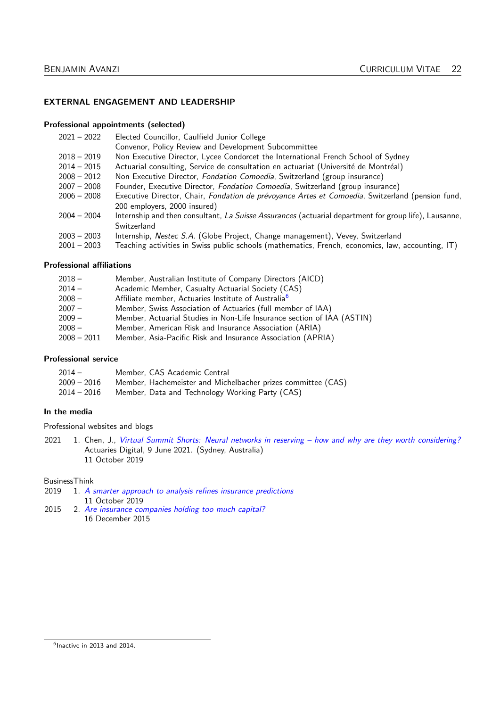#### EXTERNAL ENGAGEMENT AND LEADERSHIP

### Professional appointments (selected)

| $2021 - 2022$ | Elected Councillor, Caulfield Junior College                                                          |
|---------------|-------------------------------------------------------------------------------------------------------|
|               | Convenor, Policy Review and Development Subcommittee                                                  |
| $2018 - 2019$ | Non Executive Director, Lycee Condorcet the International French School of Sydney                     |
| $2014 - 2015$ | Actuarial consulting, Service de consultation en actuariat (Université de Montréal)                   |
| $2008 - 2012$ | Non Executive Director, Fondation Comoedia, Switzerland (group insurance)                             |
| $2007 - 2008$ | Founder, Executive Director, <i>Fondation Comoedia</i> , Switzerland (group insurance)                |
| $2006 - 2008$ | Executive Director, Chair, Fondation de prévoyance Artes et Comoedia, Switzerland (pension fund,      |
|               | 200 employers, 2000 insured)                                                                          |
| $2004 - 2004$ | Internship and then consultant, La Suisse Assurances (actuarial department for group life), Lausanne, |
|               | Switzerland                                                                                           |
| $2003 - 2003$ | Internship, Nestec S.A. (Globe Project, Change management), Vevey, Switzerland                        |
| $2001 - 2003$ | Teaching activities in Swiss public schools (mathematics, French, economics, law, accounting, IT)     |

#### Professional affiliations

| $2018 -$    | Member, Australian Institute of Company Directors (AICD)               |
|-------------|------------------------------------------------------------------------|
| $2014 -$    | Academic Member, Casualty Actuarial Society (CAS)                      |
| $2008 -$    | Affiliate member, Actuaries Institute of Australia <sup>6</sup>        |
| $2007 -$    | Member, Swiss Association of Actuaries (full member of IAA)            |
| $2009 -$    | Member, Actuarial Studies in Non-Life Insurance section of IAA (ASTIN) |
| $2008 -$    | Member, American Risk and Insurance Association (ARIA)                 |
| 2008 - 2011 | Member, Asia-Pacific Risk and Insurance Association (APRIA)            |

#### Professional service

| $2014-$     | Member, CAS Academic Central                                 |
|-------------|--------------------------------------------------------------|
| 2009 – 2016 | Member, Hachemeister and Michelbacher prizes committee (CAS) |
| 2014 – 2016 | Member, Data and Technology Working Party (CAS)              |

#### In the media

Professional websites and blogs

2021 1. Chen, J., [Virtual Summit Shorts: Neural networks in reserving – how and why are they worth considering?](https://www.actuaries.digital/2021/06/09/virtual-summit-shorts-neural-networks-in-reserving-how-and-why-are-they-worth-considering/) Actuaries Digital, 9 June 2021. (Sydney, Australia) 11 October 2019

# BusinessThink<br>2019 1.  $\overline{A}$  s

- 1. [A smarter approach to analysis refines insurance predictions](https://www.businessthink.unsw.edu.au/articles/a-smarter-approach-to-analysis-refines-insurance-predictions/) 11 October 2019
- <span id="page-21-0"></span>2015 2. [Are insurance companies holding too much capital?](https://www.businessthink.unsw.edu.au/articles/Are-insurance-companies-holding-too-much-capital/) 16 December 2015